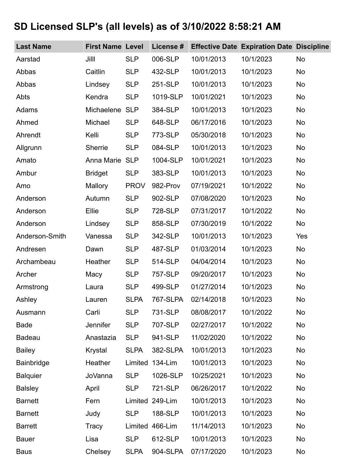## **SD Licensed SLP's (all levels) as of 3/10/2022 8:58:21 AM**

| <b>Last Name</b> | <b>First Name Level</b> |             | License # |            | <b>Effective Date Expiration Date Discipline</b> |           |
|------------------|-------------------------|-------------|-----------|------------|--------------------------------------------------|-----------|
| Aarstad          | Jilll                   | <b>SLP</b>  | 006-SLP   | 10/01/2013 | 10/1/2023                                        | No        |
| Abbas            | Caitlin                 | <b>SLP</b>  | 432-SLP   | 10/01/2013 | 10/1/2023                                        | No        |
| Abbas            | Lindsey                 | <b>SLP</b>  | 251-SLP   | 10/01/2013 | 10/1/2023                                        | <b>No</b> |
| Abts             | Kendra                  | <b>SLP</b>  | 1019-SLP  | 10/01/2021 | 10/1/2023                                        | <b>No</b> |
| Adams            | Michaelene              | <b>SLP</b>  | 384-SLP   | 10/01/2013 | 10/1/2023                                        | <b>No</b> |
| Ahmed            | Michael                 | <b>SLP</b>  | 648-SLP   | 06/17/2016 | 10/1/2023                                        | <b>No</b> |
| Ahrendt          | Kelli                   | <b>SLP</b>  | 773-SLP   | 05/30/2018 | 10/1/2023                                        | <b>No</b> |
| Allgrunn         | Sherrie                 | <b>SLP</b>  | 084-SLP   | 10/01/2013 | 10/1/2023                                        | No        |
| Amato            | Anna Marie              | <b>SLP</b>  | 1004-SLP  | 10/01/2021 | 10/1/2023                                        | No        |
| Ambur            | <b>Bridget</b>          | <b>SLP</b>  | 383-SLP   | 10/01/2013 | 10/1/2023                                        | No        |
| Amo              | Mallory                 | <b>PROV</b> | 982-Prov  | 07/19/2021 | 10/1/2022                                        | <b>No</b> |
| Anderson         | Autumn                  | <b>SLP</b>  | 902-SLP   | 07/08/2020 | 10/1/2023                                        | No        |
| Anderson         | Ellie                   | <b>SLP</b>  | 728-SLP   | 07/31/2017 | 10/1/2022                                        | <b>No</b> |
| Anderson         | Lindsey                 | <b>SLP</b>  | 858-SLP   | 07/30/2019 | 10/1/2022                                        | <b>No</b> |
| Anderson-Smith   | Vanessa                 | <b>SLP</b>  | 342-SLP   | 10/01/2013 | 10/1/2023                                        | Yes       |
| Andresen         | Dawn                    | <b>SLP</b>  | 487-SLP   | 01/03/2014 | 10/1/2023                                        | <b>No</b> |
| Archambeau       | Heather                 | <b>SLP</b>  | 514-SLP   | 04/04/2014 | 10/1/2023                                        | <b>No</b> |
| Archer           | Macy                    | <b>SLP</b>  | 757-SLP   | 09/20/2017 | 10/1/2023                                        | <b>No</b> |
| Armstrong        | Laura                   | <b>SLP</b>  | 499-SLP   | 01/27/2014 | 10/1/2023                                        | <b>No</b> |
| Ashley           | Lauren                  | <b>SLPA</b> | 767-SLPA  | 02/14/2018 | 10/1/2023                                        | No.       |
| Ausmann          | Carli                   | <b>SLP</b>  | 731-SLP   | 08/08/2017 | 10/1/2022                                        | <b>No</b> |
| <b>Bade</b>      | Jennifer                | <b>SLP</b>  | 707-SLP   | 02/27/2017 | 10/1/2022                                        | <b>No</b> |
| <b>Badeau</b>    | Anastazia               | <b>SLP</b>  | 941-SLP   | 11/02/2020 | 10/1/2022                                        | <b>No</b> |
| <b>Bailey</b>    | Krystal                 | <b>SLPA</b> | 382-SLPA  | 10/01/2013 | 10/1/2023                                        | <b>No</b> |
| Bainbridge       | Heather                 | Limited     | 134-Lim   | 10/01/2013 | 10/1/2023                                        | <b>No</b> |
| <b>Balquier</b>  | <b>JoVanna</b>          | <b>SLP</b>  | 1026-SLP  | 10/25/2021 | 10/1/2023                                        | <b>No</b> |
| <b>Balsley</b>   | April                   | <b>SLP</b>  | 721-SLP   | 06/26/2017 | 10/1/2022                                        | <b>No</b> |
| <b>Barnett</b>   | Fern                    | Limited     | 249-Lim   | 10/01/2013 | 10/1/2023                                        | <b>No</b> |
| <b>Barnett</b>   | Judy                    | <b>SLP</b>  | 188-SLP   | 10/01/2013 | 10/1/2023                                        | <b>No</b> |
| <b>Barrett</b>   | Tracy                   | Limited     | 466-Lim   | 11/14/2013 | 10/1/2023                                        | <b>No</b> |
| <b>Bauer</b>     | Lisa                    | <b>SLP</b>  | 612-SLP   | 10/01/2013 | 10/1/2023                                        | <b>No</b> |
| <b>Baus</b>      | Chelsey                 | <b>SLPA</b> | 904-SLPA  | 07/17/2020 | 10/1/2023                                        | No        |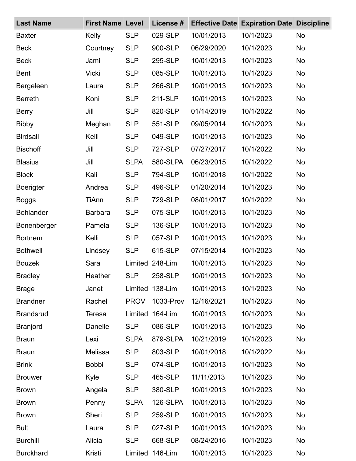| <b>Last Name</b> | <b>First Name Level</b> |             | License #       |            | <b>Effective Date Expiration Date Discipline</b> |           |
|------------------|-------------------------|-------------|-----------------|------------|--------------------------------------------------|-----------|
| <b>Baxter</b>    | Kelly                   | <b>SLP</b>  | 029-SLP         | 10/01/2013 | 10/1/2023                                        | No        |
| <b>Beck</b>      | Courtney                | <b>SLP</b>  | 900-SLP         | 06/29/2020 | 10/1/2023                                        | No        |
| <b>Beck</b>      | Jami                    | <b>SLP</b>  | 295-SLP         | 10/01/2013 | 10/1/2023                                        | <b>No</b> |
| <b>Bent</b>      | <b>Vicki</b>            | <b>SLP</b>  | 085-SLP         | 10/01/2013 | 10/1/2023                                        | <b>No</b> |
| Bergeleen        | Laura                   | <b>SLP</b>  | 266-SLP         | 10/01/2013 | 10/1/2023                                        | <b>No</b> |
| <b>Berreth</b>   | Koni                    | <b>SLP</b>  | 211-SLP         | 10/01/2013 | 10/1/2023                                        | <b>No</b> |
| <b>Berry</b>     | Jill                    | <b>SLP</b>  | 820-SLP         | 01/14/2019 | 10/1/2022                                        | <b>No</b> |
| <b>Bibby</b>     | Meghan                  | <b>SLP</b>  | 551-SLP         | 09/05/2014 | 10/1/2023                                        | <b>No</b> |
| <b>Birdsall</b>  | Kelli                   | <b>SLP</b>  | 049-SLP         | 10/01/2013 | 10/1/2023                                        | No        |
| <b>Bischoff</b>  | Jill                    | <b>SLP</b>  | 727-SLP         | 07/27/2017 | 10/1/2022                                        | <b>No</b> |
| <b>Blasius</b>   | Jill                    | <b>SLPA</b> | 580-SLPA        | 06/23/2015 | 10/1/2022                                        | <b>No</b> |
| <b>Block</b>     | Kali                    | <b>SLP</b>  | 794-SLP         | 10/01/2018 | 10/1/2022                                        | <b>No</b> |
| <b>Boerigter</b> | Andrea                  | <b>SLP</b>  | 496-SLP         | 01/20/2014 | 10/1/2023                                        | <b>No</b> |
| <b>Boggs</b>     | TiAnn                   | <b>SLP</b>  | 729-SLP         | 08/01/2017 | 10/1/2022                                        | No        |
| <b>Bohlander</b> | <b>Barbara</b>          | <b>SLP</b>  | 075-SLP         | 10/01/2013 | 10/1/2023                                        | <b>No</b> |
| Bonenberger      | Pamela                  | <b>SLP</b>  | 136-SLP         | 10/01/2013 | 10/1/2023                                        | <b>No</b> |
| <b>Bortnem</b>   | Kelli                   | <b>SLP</b>  | 057-SLP         | 10/01/2013 | 10/1/2023                                        | <b>No</b> |
| <b>Bothwell</b>  | Lindsey                 | <b>SLP</b>  | 615-SLP         | 07/15/2014 | 10/1/2023                                        | <b>No</b> |
| <b>Bouzek</b>    | Sara                    | Limited     | 248-Lim         | 10/01/2013 | 10/1/2023                                        | <b>No</b> |
| <b>Bradley</b>   | Heather                 | <b>SLP</b>  | 258-SLP         | 10/01/2013 | 10/1/2023                                        | <b>No</b> |
| <b>Brage</b>     | Janet                   |             | Limited 138-Lim | 10/01/2013 | 10/1/2023                                        | No        |
| <b>Brandner</b>  | Rachel                  | <b>PROV</b> | 1033-Prov       | 12/16/2021 | 10/1/2023                                        | <b>No</b> |
| <b>Brandsrud</b> | <b>Teresa</b>           | Limited     | 164-Lim         | 10/01/2013 | 10/1/2023                                        | <b>No</b> |
| <b>Branjord</b>  | Danelle                 | <b>SLP</b>  | 086-SLP         | 10/01/2013 | 10/1/2023                                        | <b>No</b> |
| <b>Braun</b>     | Lexi                    | <b>SLPA</b> | 879-SLPA        | 10/21/2019 | 10/1/2023                                        | <b>No</b> |
| <b>Braun</b>     | Melissa                 | <b>SLP</b>  | 803-SLP         | 10/01/2018 | 10/1/2022                                        | No        |
| <b>Brink</b>     | <b>Bobbi</b>            | <b>SLP</b>  | 074-SLP         | 10/01/2013 | 10/1/2023                                        | <b>No</b> |
| <b>Brouwer</b>   | Kyle                    | <b>SLP</b>  | 465-SLP         | 11/11/2013 | 10/1/2023                                        | <b>No</b> |
| <b>Brown</b>     | Angela                  | <b>SLP</b>  | 380-SLP         | 10/01/2013 | 10/1/2023                                        | <b>No</b> |
| <b>Brown</b>     | Penny                   | <b>SLPA</b> | 126-SLPA        | 10/01/2013 | 10/1/2023                                        | <b>No</b> |
| <b>Brown</b>     | Sheri                   | <b>SLP</b>  | 259-SLP         | 10/01/2013 | 10/1/2023                                        | <b>No</b> |
| <b>Bult</b>      | Laura                   | <b>SLP</b>  | 027-SLP         | 10/01/2013 | 10/1/2023                                        | <b>No</b> |
| <b>Burchill</b>  | Alicia                  | <b>SLP</b>  | 668-SLP         | 08/24/2016 | 10/1/2023                                        | <b>No</b> |
| <b>Burckhard</b> | Kristi                  | Limited     | 146-Lim         | 10/01/2013 | 10/1/2023                                        | No        |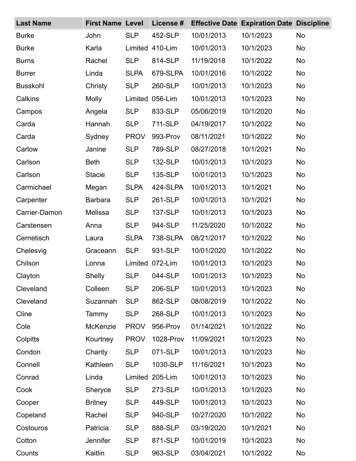| <b>Last Name</b> | <b>First Name Level</b> |             | License #       | <b>Effective Date</b> | <b>Expiration Date Discipline</b> |           |
|------------------|-------------------------|-------------|-----------------|-----------------------|-----------------------------------|-----------|
| <b>Burke</b>     | John                    | <b>SLP</b>  | 452-SLP         | 10/01/2013            | 10/1/2023                         | <b>No</b> |
| <b>Burke</b>     | Karla                   |             | Limited 410-Lim | 10/01/2013            | 10/1/2023                         | <b>No</b> |
| <b>Burns</b>     | Rachel                  | <b>SLP</b>  | 814-SLP         | 11/19/2018            | 10/1/2022                         | <b>No</b> |
| <b>Burrer</b>    | Linda                   | <b>SLPA</b> | 679-SLPA        | 10/01/2016            | 10/1/2022                         | No        |
| <b>Busskohl</b>  | Christy                 | <b>SLP</b>  | 260-SLP         | 10/01/2013            | 10/1/2023                         | <b>No</b> |
| Calkins          | <b>Molly</b>            | Limited     | 056-Lim         | 10/01/2013            | 10/1/2023                         | <b>No</b> |
| Campos           | Angela                  | <b>SLP</b>  | 833-SLP         | 05/06/2019            | 10/1/2020                         | No        |
| Carda            | Hannah                  | <b>SLP</b>  | 711-SLP         | 04/19/2017            | 10/1/2022                         | <b>No</b> |
| Carda            | Sydney                  | <b>PROV</b> | 993-Prov        | 08/11/2021            | 10/1/2022                         | <b>No</b> |
| Carlow           | Janine                  | <b>SLP</b>  | 789-SLP         | 08/27/2018            | 10/1/2021                         | <b>No</b> |
| Carlson          | <b>Beth</b>             | <b>SLP</b>  | 132-SLP         | 10/01/2013            | 10/1/2023                         | <b>No</b> |
| Carlson          | <b>Stacie</b>           | <b>SLP</b>  | 135-SLP         | 10/01/2013            | 10/1/2023                         | <b>No</b> |
| Carmichael       | Megan                   | <b>SLPA</b> | 424-SLPA        | 10/01/2013            | 10/1/2021                         | <b>No</b> |
| Carpenter        | <b>Barbara</b>          | <b>SLP</b>  | 261-SLP         | 10/01/2013            | 10/1/2021                         | <b>No</b> |
| Carrier-Damon    | Melissa                 | <b>SLP</b>  | 137-SLP         | 10/01/2013            | 10/1/2023                         | <b>No</b> |
| Carstensen       | Anna                    | <b>SLP</b>  | 944-SLP         | 11/25/2020            | 10/1/2022                         | <b>No</b> |
| Cernetisch       | Laura                   | <b>SLPA</b> | 738-SLPA        | 08/21/2017            | 10/1/2022                         | <b>No</b> |
| Chelesvig        | Graceann                | <b>SLP</b>  | 931-SLP         | 10/01/2020            | 10/1/2022                         | <b>No</b> |
| Chilson          | Lonna                   | Limited     | 072-Lim         | 10/01/2013            | 10/1/2023                         | No        |
| Clayton          | <b>Shelly</b>           | <b>SLP</b>  | 044-SLP         | 10/01/2013            | 10/1/2023                         | <b>No</b> |
| Cleveland        | Colleen                 | <b>SLP</b>  | 206-SLP         | 10/01/2013            | 10/1/2023                         | <b>No</b> |
| Cleveland        | Suzannah                | <b>SLP</b>  | 862-SLP         | 08/08/2019            | 10/1/2022                         | <b>No</b> |
| Cline            | Tammy                   | <b>SLP</b>  | 268-SLP         | 10/01/2013            | 10/1/2023                         | <b>No</b> |
| Cole             | McKenzie                | <b>PROV</b> | 956-Prov        | 01/14/2021            | 10/1/2022                         | <b>No</b> |
| Colpitts         | Kourtney                | <b>PROV</b> | 1028-Prov       | 11/09/2021            | 10/1/2023                         | <b>No</b> |
| Condon           | Charity                 | <b>SLP</b>  | 071-SLP         | 10/01/2013            | 10/1/2023                         | <b>No</b> |
| Connell          | Kathleen                | <b>SLP</b>  | 1030-SLP        | 11/16/2021            | 10/1/2023                         | No        |
| Conrad           | Linda                   | Limited     | 205-Lim         | 10/01/2013            | 10/1/2023                         | No        |
| Cook             | Sheryce                 | <b>SLP</b>  | 273-SLP         | 10/01/2013            | 10/1/2023                         | <b>No</b> |
| Cooper           | <b>Britney</b>          | <b>SLP</b>  | 449-SLP         | 10/01/2013            | 10/1/2023                         | <b>No</b> |
| Copeland         | Rachel                  | <b>SLP</b>  | 940-SLP         | 10/27/2020            | 10/1/2022                         | No        |
| Costouros        | Patricia                | <b>SLP</b>  | 888-SLP         | 03/19/2020            | 10/1/2021                         | <b>No</b> |
| Cotton           | Jennifer                | <b>SLP</b>  | 871-SLP         | 10/01/2019            | 10/1/2023                         | <b>No</b> |
| Counts           | Kaitlin                 | <b>SLP</b>  | 963-SLP         | 03/04/2021            | 10/1/2022                         | No        |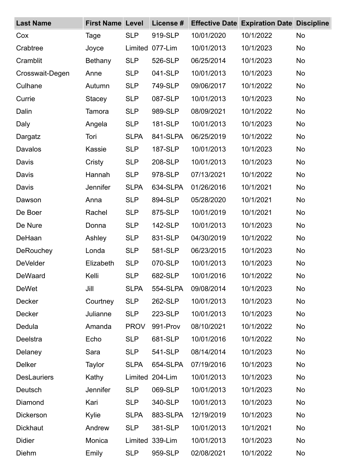| <b>Last Name</b>   | <b>First Name Level</b> |             | License # |            | <b>Effective Date Expiration Date Discipline</b> |           |
|--------------------|-------------------------|-------------|-----------|------------|--------------------------------------------------|-----------|
| Cox                | Tage                    | <b>SLP</b>  | 919-SLP   | 10/01/2020 | 10/1/2022                                        | <b>No</b> |
| Crabtree           | Joyce                   | Limited     | 077-Lim   | 10/01/2013 | 10/1/2023                                        | <b>No</b> |
| Cramblit           | <b>Bethany</b>          | <b>SLP</b>  | 526-SLP   | 06/25/2014 | 10/1/2023                                        | <b>No</b> |
| Crosswait-Degen    | Anne                    | <b>SLP</b>  | 041-SLP   | 10/01/2013 | 10/1/2023                                        | <b>No</b> |
| Culhane            | Autumn                  | <b>SLP</b>  | 749-SLP   | 09/06/2017 | 10/1/2022                                        | <b>No</b> |
| Currie             | <b>Stacey</b>           | <b>SLP</b>  | 087-SLP   | 10/01/2013 | 10/1/2023                                        | <b>No</b> |
| Dalin              | Tamora                  | <b>SLP</b>  | 989-SLP   | 08/09/2021 | 10/1/2022                                        | <b>No</b> |
| Daly               | Angela                  | <b>SLP</b>  | 181-SLP   | 10/01/2013 | 10/1/2023                                        | <b>No</b> |
| Dargatz            | Tori                    | <b>SLPA</b> | 841-SLPA  | 06/25/2019 | 10/1/2022                                        | <b>No</b> |
| Davalos            | <b>Kassie</b>           | <b>SLP</b>  | 187-SLP   | 10/01/2013 | 10/1/2023                                        | <b>No</b> |
| Davis              | Cristy                  | <b>SLP</b>  | 208-SLP   | 10/01/2013 | 10/1/2023                                        | <b>No</b> |
| Davis              | Hannah                  | <b>SLP</b>  | 978-SLP   | 07/13/2021 | 10/1/2022                                        | <b>No</b> |
| Davis              | <b>Jennifer</b>         | <b>SLPA</b> | 634-SLPA  | 01/26/2016 | 10/1/2021                                        | <b>No</b> |
| Dawson             | Anna                    | <b>SLP</b>  | 894-SLP   | 05/28/2020 | 10/1/2021                                        | <b>No</b> |
| De Boer            | Rachel                  | <b>SLP</b>  | 875-SLP   | 10/01/2019 | 10/1/2021                                        | <b>No</b> |
| De Nure            | Donna                   | <b>SLP</b>  | 142-SLP   | 10/01/2013 | 10/1/2023                                        | <b>No</b> |
| DeHaan             | Ashley                  | <b>SLP</b>  | 831-SLP   | 04/30/2019 | 10/1/2022                                        | <b>No</b> |
| <b>DeRouchey</b>   | Londa                   | <b>SLP</b>  | 581-SLP   | 06/23/2015 | 10/1/2023                                        | <b>No</b> |
| <b>DeVelder</b>    | Elizabeth               | <b>SLP</b>  | 070-SLP   | 10/01/2013 | 10/1/2023                                        | <b>No</b> |
| DeWaard            | Kelli                   | <b>SLP</b>  | 682-SLP   | 10/01/2016 | 10/1/2022                                        | No.       |
| <b>DeWet</b>       | Jill                    | <b>SLPA</b> | 554-SLPA  | 09/08/2014 | 10/1/2023                                        | <b>No</b> |
| <b>Decker</b>      | Courtney                | <b>SLP</b>  | 262-SLP   | 10/01/2013 | 10/1/2023                                        | <b>No</b> |
| Decker             | Julianne                | <b>SLP</b>  | 223-SLP   | 10/01/2013 | 10/1/2023                                        | <b>No</b> |
| Dedula             | Amanda                  | <b>PROV</b> | 991-Prov  | 08/10/2021 | 10/1/2022                                        | <b>No</b> |
| Deelstra           | Echo                    | <b>SLP</b>  | 681-SLP   | 10/01/2016 | 10/1/2022                                        | <b>No</b> |
| Delaney            | Sara                    | <b>SLP</b>  | 541-SLP   | 08/14/2014 | 10/1/2023                                        | <b>No</b> |
| <b>Delker</b>      | Taylor                  | <b>SLPA</b> | 654-SLPA  | 07/19/2016 | 10/1/2023                                        | <b>No</b> |
| <b>DesLauriers</b> | Kathy                   | Limited     | 204-Lim   | 10/01/2013 | 10/1/2023                                        | <b>No</b> |
| Deutsch            | <b>Jennifer</b>         | <b>SLP</b>  | 069-SLP   | 10/01/2013 | 10/1/2023                                        | <b>No</b> |
| Diamond            | Kari                    | <b>SLP</b>  | 340-SLP   | 10/01/2013 | 10/1/2023                                        | <b>No</b> |
| <b>Dickerson</b>   | Kylie                   | <b>SLPA</b> | 883-SLPA  | 12/19/2019 | 10/1/2023                                        | <b>No</b> |
| <b>Dickhaut</b>    | Andrew                  | <b>SLP</b>  | 381-SLP   | 10/01/2013 | 10/1/2021                                        | <b>No</b> |
| <b>Didier</b>      | Monica                  | Limited     | 339-Lim   | 10/01/2013 | 10/1/2023                                        | <b>No</b> |
| Diehm              | Emily                   | <b>SLP</b>  | 959-SLP   | 02/08/2021 | 10/1/2022                                        | No        |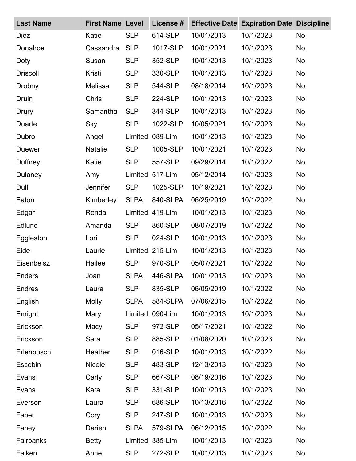| <b>Last Name</b> | <b>First Name Level</b> |             | License #       |            | <b>Effective Date Expiration Date Discipline</b> |           |
|------------------|-------------------------|-------------|-----------------|------------|--------------------------------------------------|-----------|
| <b>Diez</b>      | Katie                   | <b>SLP</b>  | 614-SLP         | 10/01/2013 | 10/1/2023                                        | <b>No</b> |
| Donahoe          | Cassandra               | <b>SLP</b>  | 1017-SLP        | 10/01/2021 | 10/1/2023                                        | <b>No</b> |
| Doty             | Susan                   | <b>SLP</b>  | 352-SLP         | 10/01/2013 | 10/1/2023                                        | <b>No</b> |
| <b>Driscoll</b>  | Kristi                  | <b>SLP</b>  | 330-SLP         | 10/01/2013 | 10/1/2023                                        | <b>No</b> |
| Drobny           | Melissa                 | <b>SLP</b>  | 544-SLP         | 08/18/2014 | 10/1/2023                                        | <b>No</b> |
| Druin            | Chris                   | <b>SLP</b>  | 224-SLP         | 10/01/2013 | 10/1/2023                                        | <b>No</b> |
| Drury            | Samantha                | <b>SLP</b>  | 344-SLP         | 10/01/2013 | 10/1/2023                                        | <b>No</b> |
| Duarte           | Sky                     | <b>SLP</b>  | 1022-SLP        | 10/05/2021 | 10/1/2023                                        | <b>No</b> |
| Dubro            | Angel                   | Limited     | 089-Lim         | 10/01/2013 | 10/1/2023                                        | <b>No</b> |
| <b>Duewer</b>    | <b>Natalie</b>          | <b>SLP</b>  | 1005-SLP        | 10/01/2021 | 10/1/2023                                        | <b>No</b> |
| Duffney          | Katie                   | <b>SLP</b>  | 557-SLP         | 09/29/2014 | 10/1/2022                                        | <b>No</b> |
| Dulaney          | Amy                     |             | Limited 517-Lim | 05/12/2014 | 10/1/2023                                        | <b>No</b> |
| Dull             | Jennifer                | <b>SLP</b>  | 1025-SLP        | 10/19/2021 | 10/1/2023                                        | <b>No</b> |
| Eaton            | Kimberley               | <b>SLPA</b> | 840-SLPA        | 06/25/2019 | 10/1/2022                                        | <b>No</b> |
| Edgar            | Ronda                   |             | Limited 419-Lim | 10/01/2013 | 10/1/2023                                        | <b>No</b> |
| Edlund           | Amanda                  | <b>SLP</b>  | 860-SLP         | 08/07/2019 | 10/1/2022                                        | <b>No</b> |
| Eggleston        | Lori                    | <b>SLP</b>  | 024-SLP         | 10/01/2013 | 10/1/2023                                        | <b>No</b> |
| Eide             | Laurie                  |             | Limited 215-Lim | 10/01/2013 | 10/1/2023                                        | <b>No</b> |
| Eisenbeisz       | Hailee                  | <b>SLP</b>  | 970-SLP         | 05/07/2021 | 10/1/2022                                        | <b>No</b> |
| Enders           | Joan                    | <b>SLPA</b> | 446-SLPA        | 10/01/2013 | 10/1/2023                                        | <b>No</b> |
| <b>Endres</b>    | Laura                   | <b>SLP</b>  | 835-SLP         | 06/05/2019 | 10/1/2022                                        | <b>No</b> |
| English          | <b>Molly</b>            | <b>SLPA</b> | 584-SLPA        | 07/06/2015 | 10/1/2022                                        | <b>No</b> |
| Enright          | Mary                    | Limited     | 090-Lim         | 10/01/2013 | 10/1/2023                                        | <b>No</b> |
| Erickson         | Macy                    | <b>SLP</b>  | 972-SLP         | 05/17/2021 | 10/1/2022                                        | <b>No</b> |
| Erickson         | Sara                    | <b>SLP</b>  | 885-SLP         | 01/08/2020 | 10/1/2023                                        | <b>No</b> |
| Erlenbusch       | Heather                 | <b>SLP</b>  | 016-SLP         | 10/01/2013 | 10/1/2022                                        | <b>No</b> |
| Escobin          | <b>Nicole</b>           | <b>SLP</b>  | 483-SLP         | 12/13/2013 | 10/1/2023                                        | <b>No</b> |
| Evans            | Carly                   | <b>SLP</b>  | 667-SLP         | 08/19/2016 | 10/1/2023                                        | <b>No</b> |
| Evans            | Kara                    | <b>SLP</b>  | 331-SLP         | 10/01/2013 | 10/1/2023                                        | <b>No</b> |
| Everson          | Laura                   | <b>SLP</b>  | 686-SLP         | 10/13/2016 | 10/1/2022                                        | <b>No</b> |
| Faber            | Cory                    | <b>SLP</b>  | 247-SLP         | 10/01/2013 | 10/1/2023                                        | <b>No</b> |
| Fahey            | Darien                  | <b>SLPA</b> | 579-SLPA        | 06/12/2015 | 10/1/2022                                        | <b>No</b> |
| Fairbanks        | <b>Betty</b>            |             | Limited 385-Lim | 10/01/2013 | 10/1/2023                                        | <b>No</b> |
| Falken           | Anne                    | <b>SLP</b>  | 272-SLP         | 10/01/2013 | 10/1/2023                                        | No        |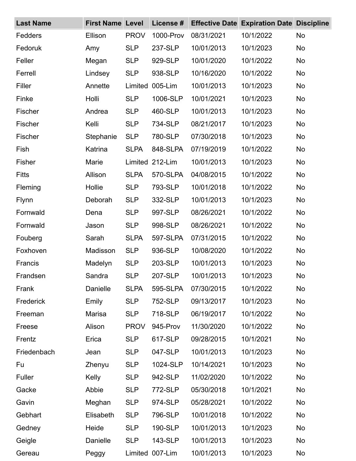| <b>Last Name</b> | <b>First Name Level</b> |             | License # |            | <b>Effective Date Expiration Date Discipline</b> |           |
|------------------|-------------------------|-------------|-----------|------------|--------------------------------------------------|-----------|
| Fedders          | Ellison                 | <b>PROV</b> | 1000-Prov | 08/31/2021 | 10/1/2022                                        | <b>No</b> |
| Fedoruk          | Amy                     | <b>SLP</b>  | 237-SLP   | 10/01/2013 | 10/1/2023                                        | <b>No</b> |
| Feller           | Megan                   | <b>SLP</b>  | 929-SLP   | 10/01/2020 | 10/1/2022                                        | <b>No</b> |
| Ferrell          | Lindsey                 | <b>SLP</b>  | 938-SLP   | 10/16/2020 | 10/1/2022                                        | <b>No</b> |
| Filler           | Annette                 | Limited     | 005-Lim   | 10/01/2013 | 10/1/2023                                        | <b>No</b> |
| Finke            | Holli                   | <b>SLP</b>  | 1006-SLP  | 10/01/2021 | 10/1/2023                                        | <b>No</b> |
| Fischer          | Andrea                  | <b>SLP</b>  | 460-SLP   | 10/01/2013 | 10/1/2023                                        | <b>No</b> |
| Fischer          | Kelli                   | <b>SLP</b>  | 734-SLP   | 08/21/2017 | 10/1/2023                                        | <b>No</b> |
| Fischer          | Stephanie               | <b>SLP</b>  | 780-SLP   | 07/30/2018 | 10/1/2023                                        | <b>No</b> |
| Fish             | Katrina                 | <b>SLPA</b> | 848-SLPA  | 07/19/2019 | 10/1/2022                                        | <b>No</b> |
| <b>Fisher</b>    | Marie                   | Limited     | 212-Lim   | 10/01/2013 | 10/1/2023                                        | <b>No</b> |
| <b>Fitts</b>     | Allison                 | <b>SLPA</b> | 570-SLPA  | 04/08/2015 | 10/1/2022                                        | <b>No</b> |
| Fleming          | Hollie                  | <b>SLP</b>  | 793-SLP   | 10/01/2018 | 10/1/2022                                        | <b>No</b> |
| <b>Flynn</b>     | Deborah                 | <b>SLP</b>  | 332-SLP   | 10/01/2013 | 10/1/2023                                        | <b>No</b> |
| Fornwald         | Dena                    | <b>SLP</b>  | 997-SLP   | 08/26/2021 | 10/1/2022                                        | <b>No</b> |
| Fornwald         | Jason                   | <b>SLP</b>  | 998-SLP   | 08/26/2021 | 10/1/2022                                        | <b>No</b> |
| Fouberg          | Sarah                   | <b>SLPA</b> | 597-SLPA  | 07/31/2015 | 10/1/2022                                        | <b>No</b> |
| Foxhoven         | Madisson                | <b>SLP</b>  | 936-SLP   | 10/08/2020 | 10/1/2022                                        | <b>No</b> |
| Francis          | Madelyn                 | <b>SLP</b>  | 203-SLP   | 10/01/2013 | 10/1/2023                                        | <b>No</b> |
| Frandsen         | Sandra                  | <b>SLP</b>  | 207-SLP   | 10/01/2013 | 10/1/2023                                        | No.       |
| Frank            | Danielle                | <b>SLPA</b> | 595-SLPA  | 07/30/2015 | 10/1/2022                                        | <b>No</b> |
| Frederick        | Emily                   | <b>SLP</b>  | 752-SLP   | 09/13/2017 | 10/1/2023                                        | <b>No</b> |
| Freeman          | Marisa                  | <b>SLP</b>  | 718-SLP   | 06/19/2017 | 10/1/2022                                        | <b>No</b> |
| Freese           | Alison                  | <b>PROV</b> | 945-Prov  | 11/30/2020 | 10/1/2022                                        | <b>No</b> |
| Frentz           | Erica                   | <b>SLP</b>  | 617-SLP   | 09/28/2015 | 10/1/2021                                        | <b>No</b> |
| Friedenbach      | Jean                    | <b>SLP</b>  | 047-SLP   | 10/01/2013 | 10/1/2023                                        | <b>No</b> |
| Fu               | Zhenyu                  | <b>SLP</b>  | 1024-SLP  | 10/14/2021 | 10/1/2023                                        | <b>No</b> |
| Fuller           | Kelly                   | <b>SLP</b>  | 942-SLP   | 11/02/2020 | 10/1/2022                                        | <b>No</b> |
| Gacke            | Abbie                   | <b>SLP</b>  | 772-SLP   | 05/30/2018 | 10/1/2021                                        | <b>No</b> |
| Gavin            | Meghan                  | <b>SLP</b>  | 974-SLP   | 05/28/2021 | 10/1/2022                                        | <b>No</b> |
| Gebhart          | Elisabeth               | <b>SLP</b>  | 796-SLP   | 10/01/2018 | 10/1/2022                                        | <b>No</b> |
| Gedney           | Heide                   | <b>SLP</b>  | 190-SLP   | 10/01/2013 | 10/1/2023                                        | <b>No</b> |
| Geigle           | Danielle                | <b>SLP</b>  | 143-SLP   | 10/01/2013 | 10/1/2023                                        | <b>No</b> |
| Gereau           | Peggy                   | Limited     | 007-Lim   | 10/01/2013 | 10/1/2023                                        | No        |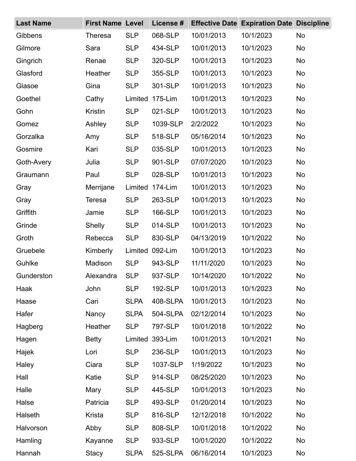| <b>Last Name</b> | <b>First Name Level</b> |             | License #       |            | <b>Effective Date Expiration Date Discipline</b> |           |
|------------------|-------------------------|-------------|-----------------|------------|--------------------------------------------------|-----------|
| Gibbens          | <b>Theresa</b>          | <b>SLP</b>  | 068-SLP         | 10/01/2013 | 10/1/2023                                        | <b>No</b> |
| Gilmore          | Sara                    | <b>SLP</b>  | 434-SLP         | 10/01/2013 | 10/1/2023                                        | <b>No</b> |
| Gingrich         | Renae                   | <b>SLP</b>  | 320-SLP         | 10/01/2013 | 10/1/2023                                        | <b>No</b> |
| Glasford         | Heather                 | <b>SLP</b>  | 355-SLP         | 10/01/2013 | 10/1/2023                                        | <b>No</b> |
| Glasoe           | Gina                    | <b>SLP</b>  | 301-SLP         | 10/01/2013 | 10/1/2023                                        | <b>No</b> |
| Goethel          | Cathy                   | Limited     | 175-Lim         | 10/01/2013 | 10/1/2023                                        | <b>No</b> |
| Gohn             | <b>Kristin</b>          | <b>SLP</b>  | 021-SLP         | 10/01/2013 | 10/1/2023                                        | <b>No</b> |
| Gomez            | Ashley                  | <b>SLP</b>  | 1039-SLP        | 2/2/2022   | 10/1/2023                                        | <b>No</b> |
| Gorzalka         | Amy                     | <b>SLP</b>  | 518-SLP         | 05/16/2014 | 10/1/2023                                        | <b>No</b> |
| Gosmire          | Kari                    | <b>SLP</b>  | 035-SLP         | 10/01/2013 | 10/1/2023                                        | <b>No</b> |
| Goth-Avery       | Julia                   | <b>SLP</b>  | 901-SLP         | 07/07/2020 | 10/1/2023                                        | <b>No</b> |
| Graumann         | Paul                    | <b>SLP</b>  | 028-SLP         | 10/01/2013 | 10/1/2023                                        | <b>No</b> |
| Gray             | Merrijane               | Limited     | 174-Lim         | 10/01/2013 | 10/1/2023                                        | <b>No</b> |
| Gray             | <b>Teresa</b>           | <b>SLP</b>  | 263-SLP         | 10/01/2013 | 10/1/2023                                        | <b>No</b> |
| Griffith         | Jamie                   | <b>SLP</b>  | 166-SLP         | 10/01/2013 | 10/1/2023                                        | <b>No</b> |
| Grinde           | <b>Shelly</b>           | <b>SLP</b>  | 014-SLP         | 10/01/2013 | 10/1/2023                                        | <b>No</b> |
| Groth            | Rebecca                 | <b>SLP</b>  | 830-SLP         | 04/13/2019 | 10/1/2022                                        | <b>No</b> |
| Gruebele         | Kimberly                |             | Limited 092-Lim | 10/01/2013 | 10/1/2023                                        | <b>No</b> |
| Guhlke           | Madison                 | <b>SLP</b>  | 943-SLP         | 11/11/2020 | 10/1/2023                                        | <b>No</b> |
| Gunderston       | Alexandra               | <b>SLP</b>  | 937-SLP         | 10/14/2020 | 10/1/2022                                        | <b>No</b> |
| Haak             | John                    | <b>SLP</b>  | 192-SLP         | 10/01/2013 | 10/1/2023                                        | <b>No</b> |
| Haase            | Cari                    | <b>SLPA</b> | 408-SLPA        | 10/01/2013 | 10/1/2023                                        | <b>No</b> |
| Hafer            | Nancy                   | <b>SLPA</b> | 504-SLPA        | 02/12/2014 | 10/1/2023                                        | <b>No</b> |
| Hagberg          | Heather                 | <b>SLP</b>  | 797-SLP         | 10/01/2018 | 10/1/2022                                        | <b>No</b> |
| Hagen            | <b>Betty</b>            |             | Limited 393-Lim | 10/01/2013 | 10/1/2021                                        | <b>No</b> |
| Hajek            | Lori                    | <b>SLP</b>  | 236-SLP         | 10/01/2013 | 10/1/2023                                        | <b>No</b> |
| Haley            | Ciara                   | <b>SLP</b>  | 1037-SLP        | 1/19/2022  | 10/1/2023                                        | <b>No</b> |
| Hall             | Katie                   | <b>SLP</b>  | 914-SLP         | 08/25/2020 | 10/1/2023                                        | <b>No</b> |
| Halle            | Mary                    | <b>SLP</b>  | 445-SLP         | 10/01/2013 | 10/1/2023                                        | <b>No</b> |
| Halse            | Patricia                | <b>SLP</b>  | 493-SLP         | 01/20/2014 | 10/1/2023                                        | <b>No</b> |
| Halseth          | Krista                  | <b>SLP</b>  | 816-SLP         | 12/12/2018 | 10/1/2022                                        | <b>No</b> |
| Halvorson        | Abby                    | <b>SLP</b>  | 808-SLP         | 10/01/2018 | 10/1/2022                                        | No        |
| Hamling          | Kayanne                 | <b>SLP</b>  | 933-SLP         | 10/01/2020 | 10/1/2022                                        | <b>No</b> |
| Hannah           | <b>Stacy</b>            | <b>SLPA</b> | 525-SLPA        | 06/16/2014 | 10/1/2023                                        | No        |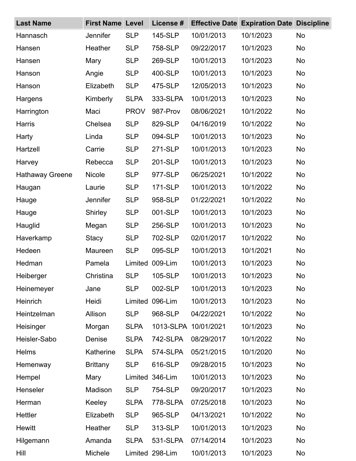| <b>Last Name</b>       | <b>First Name Level</b> |             | License #       | <b>Effective Date</b> | <b>Expiration Date Discipline</b> |           |
|------------------------|-------------------------|-------------|-----------------|-----------------------|-----------------------------------|-----------|
| Hannasch               | Jennifer                | <b>SLP</b>  | 145-SLP         | 10/01/2013            | 10/1/2023                         | <b>No</b> |
| Hansen                 | Heather                 | <b>SLP</b>  | 758-SLP         | 09/22/2017            | 10/1/2023                         | <b>No</b> |
| Hansen                 | Mary                    | <b>SLP</b>  | 269-SLP         | 10/01/2013            | 10/1/2023                         | <b>No</b> |
| Hanson                 | Angie                   | <b>SLP</b>  | 400-SLP         | 10/01/2013            | 10/1/2023                         | <b>No</b> |
| Hanson                 | Elizabeth               | <b>SLP</b>  | 475-SLP         | 12/05/2013            | 10/1/2023                         | <b>No</b> |
| Hargens                | Kimberly                | <b>SLPA</b> | 333-SLPA        | 10/01/2013            | 10/1/2023                         | <b>No</b> |
| Harrington             | Maci                    | <b>PROV</b> | 987-Prov        | 08/06/2021            | 10/1/2022                         | <b>No</b> |
| <b>Harris</b>          | Chelsea                 | <b>SLP</b>  | 829-SLP         | 04/16/2019            | 10/1/2022                         | <b>No</b> |
| Harty                  | Linda                   | <b>SLP</b>  | 094-SLP         | 10/01/2013            | 10/1/2023                         | <b>No</b> |
| Hartzell               | Carrie                  | <b>SLP</b>  | 271-SLP         | 10/01/2013            | 10/1/2023                         | <b>No</b> |
| Harvey                 | Rebecca                 | <b>SLP</b>  | 201-SLP         | 10/01/2013            | 10/1/2023                         | <b>No</b> |
| <b>Hathaway Greene</b> | Nicole                  | <b>SLP</b>  | 977-SLP         | 06/25/2021            | 10/1/2022                         | No        |
| Haugan                 | Laurie                  | <b>SLP</b>  | 171-SLP         | 10/01/2013            | 10/1/2022                         | <b>No</b> |
| Hauge                  | Jennifer                | <b>SLP</b>  | 958-SLP         | 01/22/2021            | 10/1/2022                         | No        |
| Hauge                  | Shirley                 | <b>SLP</b>  | 001-SLP         | 10/01/2013            | 10/1/2023                         | <b>No</b> |
| Hauglid                | Megan                   | <b>SLP</b>  | 256-SLP         | 10/01/2013            | 10/1/2023                         | <b>No</b> |
| Haverkamp              | <b>Stacy</b>            | <b>SLP</b>  | 702-SLP         | 02/01/2017            | 10/1/2022                         | <b>No</b> |
| Hedeen                 | Maureen                 | <b>SLP</b>  | 095-SLP         | 10/01/2013            | 10/1/2021                         | <b>No</b> |
| Hedman                 | Pamela                  | Limited     | 009-Lim         | 10/01/2013            | 10/1/2023                         | No        |
| Heiberger              | Christina               | <b>SLP</b>  | 105-SLP         | 10/01/2013            | 10/1/2023                         | No        |
| Heinemeyer             | Jane                    | <b>SLP</b>  | 002-SLP         | 10/01/2013            | 10/1/2023                         | No        |
| Heinrich               | Heidi                   | Limited     | 096-Lim         | 10/01/2013            | 10/1/2023                         | <b>No</b> |
| Heintzelman            | Allison                 | <b>SLP</b>  | 968-SLP         | 04/22/2021            | 10/1/2022                         | <b>No</b> |
| Heisinger              | Morgan                  | <b>SLPA</b> |                 | 1013-SLPA 10/01/2021  | 10/1/2023                         | <b>No</b> |
| Heisler-Sabo           | Denise                  | <b>SLPA</b> | 742-SLPA        | 08/29/2017            | 10/1/2022                         | <b>No</b> |
| <b>Helms</b>           | Katherine               | <b>SLPA</b> | 574-SLPA        | 05/21/2015            | 10/1/2020                         | <b>No</b> |
| Hemenway               | <b>Brittany</b>         | <b>SLP</b>  | 616-SLP         | 09/28/2015            | 10/1/2023                         | No        |
| Hempel                 | Mary                    | Limited     | 346-Lim         | 10/01/2013            | 10/1/2023                         | <b>No</b> |
| Henseler               | Madison                 | <b>SLP</b>  | 754-SLP         | 09/20/2017            | 10/1/2023                         | <b>No</b> |
| Herman                 | Keeley                  | <b>SLPA</b> | 778-SLPA        | 07/25/2018            | 10/1/2023                         | <b>No</b> |
| Hettler                | Elizabeth               | <b>SLP</b>  | 965-SLP         | 04/13/2021            | 10/1/2022                         | No        |
| <b>Hewitt</b>          | Heather                 | <b>SLP</b>  | 313-SLP         | 10/01/2013            | 10/1/2023                         | No        |
| Hilgemann              | Amanda                  | <b>SLPA</b> | 531-SLPA        | 07/14/2014            | 10/1/2023                         | No        |
| Hill                   | Michele                 |             | Limited 298-Lim | 10/01/2013            | 10/1/2023                         | No        |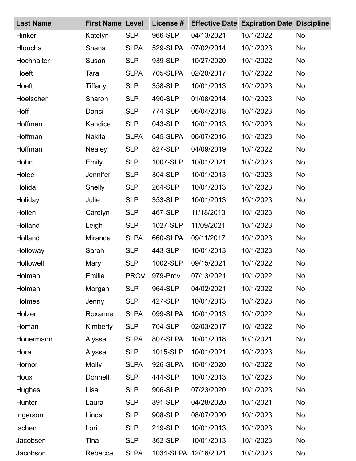| <b>Last Name</b> | <b>First Name Level</b> |             | License # | <b>Effective Date</b> | <b>Expiration Date Discipline</b> |           |
|------------------|-------------------------|-------------|-----------|-----------------------|-----------------------------------|-----------|
| Hinker           | Katelyn                 | <b>SLP</b>  | 966-SLP   | 04/13/2021            | 10/1/2022                         | <b>No</b> |
| Hloucha          | Shana                   | <b>SLPA</b> | 529-SLPA  | 07/02/2014            | 10/1/2023                         | <b>No</b> |
| Hochhalter       | Susan                   | <b>SLP</b>  | 939-SLP   | 10/27/2020            | 10/1/2022                         | <b>No</b> |
| Hoeft            | Tara                    | <b>SLPA</b> | 705-SLPA  | 02/20/2017            | 10/1/2022                         | <b>No</b> |
| Hoeft            | Tiffany                 | <b>SLP</b>  | 358-SLP   | 10/01/2013            | 10/1/2023                         | <b>No</b> |
| Hoelscher        | Sharon                  | <b>SLP</b>  | 490-SLP   | 01/08/2014            | 10/1/2023                         | <b>No</b> |
| Hoff             | Danci                   | <b>SLP</b>  | 774-SLP   | 06/04/2018            | 10/1/2023                         | <b>No</b> |
| Hoffman          | Kandice                 | <b>SLP</b>  | 043-SLP   | 10/01/2013            | 10/1/2023                         | <b>No</b> |
| Hoffman          | <b>Nakita</b>           | <b>SLPA</b> | 645-SLPA  | 06/07/2016            | 10/1/2023                         | <b>No</b> |
| Hoffman          | <b>Nealey</b>           | <b>SLP</b>  | 827-SLP   | 04/09/2019            | 10/1/2022                         | <b>No</b> |
| Hohn             | Emily                   | <b>SLP</b>  | 1007-SLP  | 10/01/2021            | 10/1/2023                         | <b>No</b> |
| Holec            | Jennifer                | <b>SLP</b>  | 304-SLP   | 10/01/2013            | 10/1/2023                         | <b>No</b> |
| Holida           | Shelly                  | <b>SLP</b>  | 264-SLP   | 10/01/2013            | 10/1/2023                         | <b>No</b> |
| Holiday          | Julie                   | <b>SLP</b>  | 353-SLP   | 10/01/2013            | 10/1/2023                         | <b>No</b> |
| Holien           | Carolyn                 | <b>SLP</b>  | 467-SLP   | 11/18/2013            | 10/1/2023                         | <b>No</b> |
| Holland          | Leigh                   | <b>SLP</b>  | 1027-SLP  | 11/09/2021            | 10/1/2023                         | <b>No</b> |
| Holland          | Miranda                 | <b>SLPA</b> | 660-SLPA  | 09/11/2017            | 10/1/2023                         | <b>No</b> |
| Holloway         | Sarah                   | <b>SLP</b>  | 443-SLP   | 10/01/2013            | 10/1/2023                         | <b>No</b> |
| Hollowell        | Mary                    | <b>SLP</b>  | 1002-SLP  | 09/15/2021            | 10/1/2022                         | <b>No</b> |
| Holman           | Emilie                  | <b>PROV</b> | 979-Prov  | 07/13/2021            | 10/1/2022                         | <b>No</b> |
| Holmen           | Morgan                  | <b>SLP</b>  | 964-SLP   | 04/02/2021            | 10/1/2022                         | <b>No</b> |
| Holmes           | Jenny                   | <b>SLP</b>  | 427-SLP   | 10/01/2013            | 10/1/2023                         | <b>No</b> |
| Holzer           | Roxanne                 | <b>SLPA</b> | 099-SLPA  | 10/01/2013            | 10/1/2022                         | <b>No</b> |
| Homan            | Kimberly                | <b>SLP</b>  | 704-SLP   | 02/03/2017            | 10/1/2022                         | <b>No</b> |
| Honermann        | Alyssa                  | <b>SLPA</b> | 807-SLPA  | 10/01/2018            | 10/1/2021                         | <b>No</b> |
| Hora             | Alyssa                  | <b>SLP</b>  | 1015-SLP  | 10/01/2021            | 10/1/2023                         | <b>No</b> |
| Hornor           | <b>Molly</b>            | <b>SLPA</b> | 926-SLPA  | 10/01/2020            | 10/1/2022                         | <b>No</b> |
| Houx             | Donnell                 | <b>SLP</b>  | 444-SLP   | 10/01/2013            | 10/1/2023                         | <b>No</b> |
| <b>Hughes</b>    | Lisa                    | <b>SLP</b>  | 906-SLP   | 07/23/2020            | 10/1/2023                         | <b>No</b> |
| Hunter           | Laura                   | <b>SLP</b>  | 891-SLP   | 04/28/2020            | 10/1/2021                         | <b>No</b> |
| Ingerson         | Linda                   | <b>SLP</b>  | 908-SLP   | 08/07/2020            | 10/1/2023                         | <b>No</b> |
| Ischen           | Lori                    | <b>SLP</b>  | 219-SLP   | 10/01/2013            | 10/1/2023                         | <b>No</b> |
| Jacobsen         | Tina                    | <b>SLP</b>  | 362-SLP   | 10/01/2013            | 10/1/2023                         | <b>No</b> |
| Jacobson         | Rebecca                 | <b>SLPA</b> |           | 1034-SLPA 12/16/2021  | 10/1/2023                         | No        |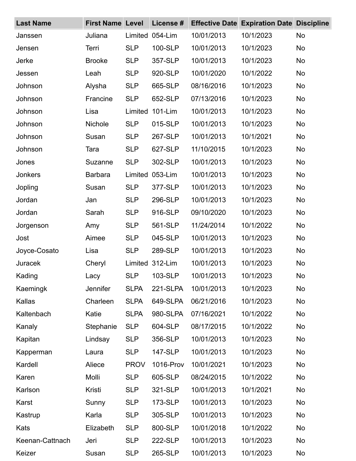| <b>Last Name</b> | <b>First Name Level</b> |             | License # |            | <b>Effective Date Expiration Date Discipline</b> |           |
|------------------|-------------------------|-------------|-----------|------------|--------------------------------------------------|-----------|
| Janssen          | Juliana                 | Limited     | 054-Lim   | 10/01/2013 | 10/1/2023                                        | <b>No</b> |
| Jensen           | Terri                   | <b>SLP</b>  | 100-SLP   | 10/01/2013 | 10/1/2023                                        | <b>No</b> |
| Jerke            | <b>Brooke</b>           | <b>SLP</b>  | 357-SLP   | 10/01/2013 | 10/1/2023                                        | <b>No</b> |
| Jessen           | Leah                    | <b>SLP</b>  | 920-SLP   | 10/01/2020 | 10/1/2022                                        | <b>No</b> |
| Johnson          | Alysha                  | <b>SLP</b>  | 665-SLP   | 08/16/2016 | 10/1/2023                                        | <b>No</b> |
| Johnson          | Francine                | <b>SLP</b>  | 652-SLP   | 07/13/2016 | 10/1/2023                                        | <b>No</b> |
| Johnson          | Lisa                    | Limited     | 101-Lim   | 10/01/2013 | 10/1/2023                                        | <b>No</b> |
| Johnson          | Nichole                 | <b>SLP</b>  | 015-SLP   | 10/01/2013 | 10/1/2023                                        | <b>No</b> |
| Johnson          | Susan                   | <b>SLP</b>  | 267-SLP   | 10/01/2013 | 10/1/2021                                        | <b>No</b> |
| Johnson          | Tara                    | <b>SLP</b>  | 627-SLP   | 11/10/2015 | 10/1/2023                                        | <b>No</b> |
| Jones            | Suzanne                 | <b>SLP</b>  | 302-SLP   | 10/01/2013 | 10/1/2023                                        | <b>No</b> |
| <b>Jonkers</b>   | <b>Barbara</b>          | Limited     | 053-Lim   | 10/01/2013 | 10/1/2023                                        | <b>No</b> |
| Jopling          | Susan                   | <b>SLP</b>  | 377-SLP   | 10/01/2013 | 10/1/2023                                        | <b>No</b> |
| Jordan           | Jan                     | <b>SLP</b>  | 296-SLP   | 10/01/2013 | 10/1/2023                                        | <b>No</b> |
| Jordan           | Sarah                   | <b>SLP</b>  | 916-SLP   | 09/10/2020 | 10/1/2023                                        | <b>No</b> |
| Jorgenson        | Amy                     | <b>SLP</b>  | 561-SLP   | 11/24/2014 | 10/1/2022                                        | <b>No</b> |
| Jost             | Aimee                   | <b>SLP</b>  | 045-SLP   | 10/01/2013 | 10/1/2023                                        | <b>No</b> |
| Joyce-Cosato     | Lisa                    | <b>SLP</b>  | 289-SLP   | 10/01/2013 | 10/1/2023                                        | <b>No</b> |
| Juracek          | Cheryl                  | Limited     | 312-Lim   | 10/01/2013 | 10/1/2023                                        | <b>No</b> |
| Kading           | Lacy                    | <b>SLP</b>  | 103-SLP   | 10/01/2013 | 10/1/2023                                        | No.       |
| Kaemingk         | Jennifer                | <b>SLPA</b> | 221-SLPA  | 10/01/2013 | 10/1/2023                                        | <b>No</b> |
| Kallas           | Charleen                | <b>SLPA</b> | 649-SLPA  | 06/21/2016 | 10/1/2023                                        | <b>No</b> |
| Kaltenbach       | Katie                   | <b>SLPA</b> | 980-SLPA  | 07/16/2021 | 10/1/2022                                        | <b>No</b> |
| Kanaly           | Stephanie               | <b>SLP</b>  | 604-SLP   | 08/17/2015 | 10/1/2022                                        | <b>No</b> |
| Kapitan          | Lindsay                 | <b>SLP</b>  | 356-SLP   | 10/01/2013 | 10/1/2023                                        | <b>No</b> |
| Kapperman        | Laura                   | <b>SLP</b>  | 147-SLP   | 10/01/2013 | 10/1/2023                                        | <b>No</b> |
| Kardell          | Aliece                  | <b>PROV</b> | 1016-Prov | 10/01/2021 | 10/1/2023                                        | <b>No</b> |
| Karen            | Molli                   | <b>SLP</b>  | 605-SLP   | 08/24/2015 | 10/1/2022                                        | <b>No</b> |
| Karlson          | Kristi                  | <b>SLP</b>  | 321-SLP   | 10/01/2013 | 10/1/2021                                        | <b>No</b> |
| Karst            | Sunny                   | <b>SLP</b>  | 173-SLP   | 10/01/2013 | 10/1/2023                                        | <b>No</b> |
| Kastrup          | Karla                   | <b>SLP</b>  | 305-SLP   | 10/01/2013 | 10/1/2023                                        | <b>No</b> |
| Kats             | Elizabeth               | <b>SLP</b>  | 800-SLP   | 10/01/2018 | 10/1/2022                                        | <b>No</b> |
| Keenan-Cattnach  | Jeri                    | <b>SLP</b>  | 222-SLP   | 10/01/2013 | 10/1/2023                                        | <b>No</b> |
| Keizer           | Susan                   | <b>SLP</b>  | 265-SLP   | 10/01/2013 | 10/1/2023                                        | No        |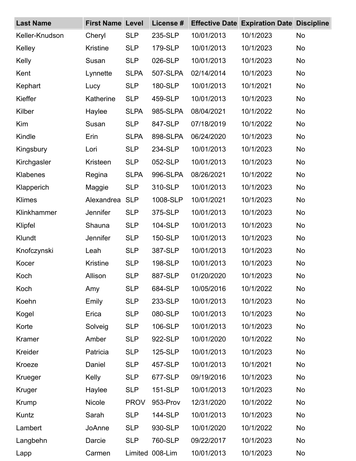| <b>Last Name</b> | <b>First Name Level</b> |             | License # | <b>Effective Date</b> | <b>Expiration Date Discipline</b> |           |
|------------------|-------------------------|-------------|-----------|-----------------------|-----------------------------------|-----------|
| Keller-Knudson   | Cheryl                  | <b>SLP</b>  | 235-SLP   | 10/01/2013            | 10/1/2023                         | <b>No</b> |
| Kelley           | <b>Kristine</b>         | <b>SLP</b>  | 179-SLP   | 10/01/2013            | 10/1/2023                         | <b>No</b> |
| Kelly            | Susan                   | <b>SLP</b>  | 026-SLP   | 10/01/2013            | 10/1/2023                         | No        |
| Kent             | Lynnette                | <b>SLPA</b> | 507-SLPA  | 02/14/2014            | 10/1/2023                         | <b>No</b> |
| Kephart          | Lucy                    | <b>SLP</b>  | 180-SLP   | 10/01/2013            | 10/1/2021                         | <b>No</b> |
| Kieffer          | Katherine               | <b>SLP</b>  | 459-SLP   | 10/01/2013            | 10/1/2023                         | <b>No</b> |
| Kilber           | Haylee                  | <b>SLPA</b> | 985-SLPA  | 08/04/2021            | 10/1/2022                         | <b>No</b> |
| Kim              | Susan                   | <b>SLP</b>  | 847-SLP   | 07/18/2019            | 10/1/2022                         | <b>No</b> |
| Kindle           | Erin                    | <b>SLPA</b> | 898-SLPA  | 06/24/2020            | 10/1/2023                         | <b>No</b> |
| Kingsbury        | Lori                    | <b>SLP</b>  | 234-SLP   | 10/01/2013            | 10/1/2023                         | <b>No</b> |
| Kirchgasler      | Kristeen                | <b>SLP</b>  | 052-SLP   | 10/01/2013            | 10/1/2023                         | <b>No</b> |
| Klabenes         | Regina                  | <b>SLPA</b> | 996-SLPA  | 08/26/2021            | 10/1/2022                         | <b>No</b> |
| Klapperich       | Maggie                  | <b>SLP</b>  | 310-SLP   | 10/01/2013            | 10/1/2023                         | <b>No</b> |
| <b>Klimes</b>    | Alexandrea              | <b>SLP</b>  | 1008-SLP  | 10/01/2021            | 10/1/2023                         | <b>No</b> |
| Klinkhammer      | Jennifer                | <b>SLP</b>  | 375-SLP   | 10/01/2013            | 10/1/2023                         | <b>No</b> |
| Klipfel          | Shauna                  | <b>SLP</b>  | 104-SLP   | 10/01/2013            | 10/1/2023                         | <b>No</b> |
| Klundt           | <b>Jennifer</b>         | <b>SLP</b>  | 150-SLP   | 10/01/2013            | 10/1/2023                         | <b>No</b> |
| Knofczynski      | Leah                    | <b>SLP</b>  | 387-SLP   | 10/01/2013            | 10/1/2023                         | <b>No</b> |
| Kocer            | <b>Kristine</b>         | <b>SLP</b>  | 198-SLP   | 10/01/2013            | 10/1/2023                         | No        |
| Koch             | Allison                 | <b>SLP</b>  | 887-SLP   | 01/20/2020            | 10/1/2023                         | <b>No</b> |
| Koch             | Amy                     | <b>SLP</b>  | 684-SLP   | 10/05/2016            | 10/1/2022                         | <b>No</b> |
| Koehn            | Emily                   | <b>SLP</b>  | 233-SLP   | 10/01/2013            | 10/1/2023                         | <b>No</b> |
| Kogel            | Erica                   | <b>SLP</b>  | 080-SLP   | 10/01/2013            | 10/1/2023                         | <b>No</b> |
| Korte            | Solveig                 | <b>SLP</b>  | 106-SLP   | 10/01/2013            | 10/1/2023                         | <b>No</b> |
| Kramer           | Amber                   | <b>SLP</b>  | 922-SLP   | 10/01/2020            | 10/1/2022                         | <b>No</b> |
| Kreider          | Patricia                | <b>SLP</b>  | 125-SLP   | 10/01/2013            | 10/1/2023                         | <b>No</b> |
| Kroeze           | Daniel                  | <b>SLP</b>  | 457-SLP   | 10/01/2013            | 10/1/2021                         | No        |
| Krueger          | Kelly                   | <b>SLP</b>  | 677-SLP   | 09/19/2016            | 10/1/2023                         | <b>No</b> |
| Kruger           | Haylee                  | <b>SLP</b>  | 151-SLP   | 10/01/2013            | 10/1/2023                         | <b>No</b> |
| Krump            | <b>Nicole</b>           | <b>PROV</b> | 953-Prov  | 12/31/2020            | 10/1/2022                         | <b>No</b> |
| Kuntz            | Sarah                   | <b>SLP</b>  | 144-SLP   | 10/01/2013            | 10/1/2023                         | <b>No</b> |
| Lambert          | JoAnne                  | <b>SLP</b>  | 930-SLP   | 10/01/2020            | 10/1/2022                         | <b>No</b> |
| Langbehn         | Darcie                  | <b>SLP</b>  | 760-SLP   | 09/22/2017            | 10/1/2023                         | <b>No</b> |
| Lapp             | Carmen                  | Limited     | 008-Lim   | 10/01/2013            | 10/1/2023                         | No        |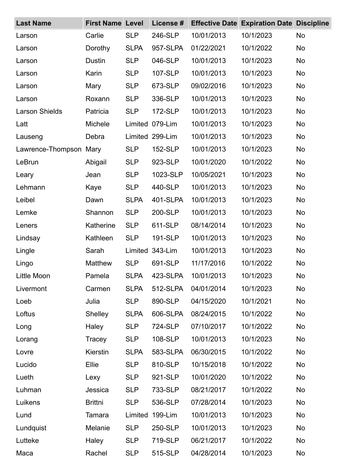| <b>Last Name</b>      | <b>First Name Level</b> |             | License #       |            | <b>Effective Date Expiration Date Discipline</b> |           |
|-----------------------|-------------------------|-------------|-----------------|------------|--------------------------------------------------|-----------|
| Larson                | Carlie                  | <b>SLP</b>  | 246-SLP         | 10/01/2013 | 10/1/2023                                        | No        |
| Larson                | Dorothy                 | <b>SLPA</b> | 957-SLPA        | 01/22/2021 | 10/1/2022                                        | <b>No</b> |
| Larson                | Dustin                  | <b>SLP</b>  | 046-SLP         | 10/01/2013 | 10/1/2023                                        | <b>No</b> |
| Larson                | Karin                   | <b>SLP</b>  | 107-SLP         | 10/01/2013 | 10/1/2023                                        | No        |
| Larson                | Mary                    | <b>SLP</b>  | 673-SLP         | 09/02/2016 | 10/1/2023                                        | <b>No</b> |
| Larson                | Roxann                  | <b>SLP</b>  | 336-SLP         | 10/01/2013 | 10/1/2023                                        | <b>No</b> |
| <b>Larson Shields</b> | Patricia                | <b>SLP</b>  | 172-SLP         | 10/01/2013 | 10/1/2023                                        | <b>No</b> |
| Latt                  | Michele                 | Limited     | 079-Lim         | 10/01/2013 | 10/1/2023                                        | <b>No</b> |
| Lauseng               | Debra                   |             | Limited 299-Lim | 10/01/2013 | 10/1/2023                                        | <b>No</b> |
| Lawrence-Thompson     | Mary                    | <b>SLP</b>  | 152-SLP         | 10/01/2013 | 10/1/2023                                        | <b>No</b> |
| LeBrun                | Abigail                 | <b>SLP</b>  | 923-SLP         | 10/01/2020 | 10/1/2022                                        | <b>No</b> |
| Leary                 | Jean                    | <b>SLP</b>  | 1023-SLP        | 10/05/2021 | 10/1/2023                                        | <b>No</b> |
| Lehmann               | Kaye                    | <b>SLP</b>  | 440-SLP         | 10/01/2013 | 10/1/2023                                        | <b>No</b> |
| Leibel                | Dawn                    | <b>SLPA</b> | 401-SLPA        | 10/01/2013 | 10/1/2023                                        | <b>No</b> |
| Lemke                 | Shannon                 | <b>SLP</b>  | 200-SLP         | 10/01/2013 | 10/1/2023                                        | <b>No</b> |
| Leners                | Katherine               | <b>SLP</b>  | 611-SLP         | 08/14/2014 | 10/1/2023                                        | <b>No</b> |
| Lindsay               | Kathleen                | <b>SLP</b>  | 191-SLP         | 10/01/2013 | 10/1/2023                                        | <b>No</b> |
| Lingle                | Sarah                   |             | Limited 343-Lim | 10/01/2013 | 10/1/2023                                        | <b>No</b> |
| Lingo                 | Matthew                 | <b>SLP</b>  | 691-SLP         | 11/17/2016 | 10/1/2022                                        | <b>No</b> |
| Little Moon           | Pamela                  | <b>SLPA</b> | 423-SLPA        | 10/01/2013 | 10/1/2023                                        | No.       |
| Livermont             | Carmen                  | <b>SLPA</b> | 512-SLPA        | 04/01/2014 | 10/1/2023                                        | <b>No</b> |
| Loeb                  | Julia                   | <b>SLP</b>  | 890-SLP         | 04/15/2020 | 10/1/2021                                        | <b>No</b> |
| Loftus                | Shelley                 | <b>SLPA</b> | 606-SLPA        | 08/24/2015 | 10/1/2022                                        | <b>No</b> |
| Long                  | Haley                   | <b>SLP</b>  | 724-SLP         | 07/10/2017 | 10/1/2022                                        | <b>No</b> |
| Lorang                | Tracey                  | <b>SLP</b>  | 108-SLP         | 10/01/2013 | 10/1/2023                                        | <b>No</b> |
| Lovre                 | Kierstin                | <b>SLPA</b> | 583-SLPA        | 06/30/2015 | 10/1/2022                                        | <b>No</b> |
| Lucido                | Ellie                   | <b>SLP</b>  | 810-SLP         | 10/15/2018 | 10/1/2022                                        | <b>No</b> |
| Lueth                 | Lexy                    | <b>SLP</b>  | 921-SLP         | 10/01/2020 | 10/1/2022                                        | <b>No</b> |
| Luhman                | Jessica                 | <b>SLP</b>  | 733-SLP         | 08/21/2017 | 10/1/2022                                        | <b>No</b> |
| Luikens               | <b>Brittni</b>          | <b>SLP</b>  | 536-SLP         | 07/28/2014 | 10/1/2023                                        | <b>No</b> |
| Lund                  | <b>Tamara</b>           | Limited     | 199-Lim         | 10/01/2013 | 10/1/2023                                        | <b>No</b> |
| Lundquist             | Melanie                 | <b>SLP</b>  | 250-SLP         | 10/01/2013 | 10/1/2023                                        | <b>No</b> |
| Lutteke               | Haley                   | <b>SLP</b>  | 719-SLP         | 06/21/2017 | 10/1/2022                                        | <b>No</b> |
| Maca                  | Rachel                  | <b>SLP</b>  | 515-SLP         | 04/28/2014 | 10/1/2023                                        | No        |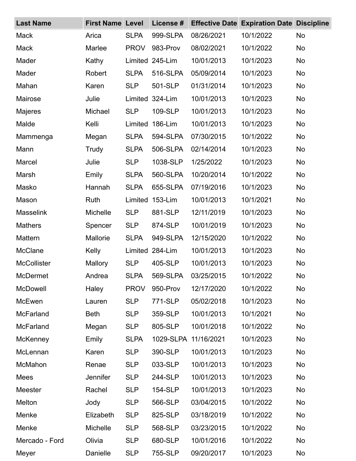| <b>Last Name</b>   | <b>First Name Level</b> |             | License #       |                      | <b>Effective Date Expiration Date Discipline</b> |           |
|--------------------|-------------------------|-------------|-----------------|----------------------|--------------------------------------------------|-----------|
| <b>Mack</b>        | Arica                   | <b>SLPA</b> | 999-SLPA        | 08/26/2021           | 10/1/2022                                        | No        |
| Mack               | Marlee                  | <b>PROV</b> | 983-Prov        | 08/02/2021           | 10/1/2022                                        | <b>No</b> |
| Mader              | Kathy                   | Limited     | 245-Lim         | 10/01/2013           | 10/1/2023                                        | <b>No</b> |
| Mader              | Robert                  | <b>SLPA</b> | 516-SLPA        | 05/09/2014           | 10/1/2023                                        | <b>No</b> |
| Mahan              | Karen                   | <b>SLP</b>  | 501-SLP         | 01/31/2014           | 10/1/2023                                        | <b>No</b> |
| Mairose            | Julie                   |             | Limited 324-Lim | 10/01/2013           | 10/1/2023                                        | <b>No</b> |
| Majeres            | Michael                 | <b>SLP</b>  | 109-SLP         | 10/01/2013           | 10/1/2023                                        | <b>No</b> |
| Malde              | Kelli                   | Limited     | 186-Lim         | 10/01/2013           | 10/1/2023                                        | <b>No</b> |
| Mammenga           | Megan                   | <b>SLPA</b> | 594-SLPA        | 07/30/2015           | 10/1/2022                                        | <b>No</b> |
| Mann               | Trudy                   | <b>SLPA</b> | 506-SLPA        | 02/14/2014           | 10/1/2023                                        | <b>No</b> |
| Marcel             | Julie                   | <b>SLP</b>  | 1038-SLP        | 1/25/2022            | 10/1/2023                                        | <b>No</b> |
| Marsh              | Emily                   | <b>SLPA</b> | 560-SLPA        | 10/20/2014           | 10/1/2022                                        | <b>No</b> |
| Masko              | Hannah                  | <b>SLPA</b> | 655-SLPA        | 07/19/2016           | 10/1/2023                                        | <b>No</b> |
| Mason              | Ruth                    | Limited     | 153-Lim         | 10/01/2013           | 10/1/2021                                        | <b>No</b> |
| <b>Masselink</b>   | Michelle                | <b>SLP</b>  | 881-SLP         | 12/11/2019           | 10/1/2023                                        | <b>No</b> |
| <b>Mathers</b>     | Spencer                 | <b>SLP</b>  | 874-SLP         | 10/01/2019           | 10/1/2023                                        | <b>No</b> |
| Mattern            | Mallorie                | <b>SLPA</b> | 949-SLPA        | 12/15/2020           | 10/1/2022                                        | <b>No</b> |
| <b>McClane</b>     | Kelly                   |             | Limited 284-Lim | 10/01/2013           | 10/1/2023                                        | <b>No</b> |
| <b>McCollister</b> | Mallory                 | <b>SLP</b>  | 405-SLP         | 10/01/2013           | 10/1/2023                                        | <b>No</b> |
| <b>McDermet</b>    | Andrea                  | <b>SLPA</b> | 569-SLPA        | 03/25/2015           | 10/1/2022                                        | No.       |
| McDowell           | Haley                   | <b>PROV</b> | 950-Prov        | 12/17/2020           | 10/1/2022                                        | No        |
| McEwen             | Lauren                  | <b>SLP</b>  | 771-SLP         | 05/02/2018           | 10/1/2023                                        | <b>No</b> |
| <b>McFarland</b>   | <b>Beth</b>             | <b>SLP</b>  | 359-SLP         | 10/01/2013           | 10/1/2021                                        | <b>No</b> |
| <b>McFarland</b>   | Megan                   | <b>SLP</b>  | 805-SLP         | 10/01/2018           | 10/1/2022                                        | <b>No</b> |
| <b>McKenney</b>    | Emily                   | <b>SLPA</b> |                 | 1029-SLPA 11/16/2021 | 10/1/2023                                        | <b>No</b> |
| McLennan           | Karen                   | <b>SLP</b>  | 390-SLP         | 10/01/2013           | 10/1/2023                                        | <b>No</b> |
| McMahon            | Renae                   | <b>SLP</b>  | 033-SLP         | 10/01/2013           | 10/1/2023                                        | <b>No</b> |
| Mees               | <b>Jennifer</b>         | <b>SLP</b>  | 244-SLP         | 10/01/2013           | 10/1/2023                                        | <b>No</b> |
| Meester            | Rachel                  | <b>SLP</b>  | 154-SLP         | 10/01/2013           | 10/1/2023                                        | <b>No</b> |
| Melton             | Jody                    | <b>SLP</b>  | 566-SLP         | 03/04/2015           | 10/1/2022                                        | <b>No</b> |
| Menke              | Elizabeth               | <b>SLP</b>  | 825-SLP         | 03/18/2019           | 10/1/2022                                        | <b>No</b> |
| Menke              | Michelle                | <b>SLP</b>  | 568-SLP         | 03/23/2015           | 10/1/2022                                        | <b>No</b> |
| Mercado - Ford     | Olivia                  | <b>SLP</b>  | 680-SLP         | 10/01/2016           | 10/1/2022                                        | No        |
| Meyer              | Danielle                | <b>SLP</b>  | 755-SLP         | 09/20/2017           | 10/1/2023                                        | No        |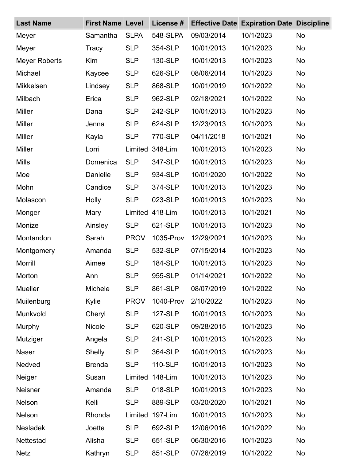| <b>Last Name</b>     | <b>First Name Level</b> |             | License # | <b>Effective Date</b> | <b>Expiration Date Discipline</b> |           |
|----------------------|-------------------------|-------------|-----------|-----------------------|-----------------------------------|-----------|
| Meyer                | Samantha                | <b>SLPA</b> | 548-SLPA  | 09/03/2014            | 10/1/2023                         | No        |
| Meyer                | Tracy                   | <b>SLP</b>  | 354-SLP   | 10/01/2013            | 10/1/2023                         | <b>No</b> |
| <b>Meyer Roberts</b> | Kim                     | <b>SLP</b>  | 130-SLP   | 10/01/2013            | 10/1/2023                         | <b>No</b> |
| Michael              | Kaycee                  | <b>SLP</b>  | 626-SLP   | 08/06/2014            | 10/1/2023                         | <b>No</b> |
| <b>Mikkelsen</b>     | Lindsey                 | <b>SLP</b>  | 868-SLP   | 10/01/2019            | 10/1/2022                         | <b>No</b> |
| Milbach              | Erica                   | <b>SLP</b>  | 962-SLP   | 02/18/2021            | 10/1/2022                         | <b>No</b> |
| <b>Miller</b>        | Dana                    | <b>SLP</b>  | 242-SLP   | 10/01/2013            | 10/1/2023                         | <b>No</b> |
| Miller               | Jenna                   | <b>SLP</b>  | 624-SLP   | 12/23/2013            | 10/1/2023                         | <b>No</b> |
| Miller               | Kayla                   | <b>SLP</b>  | 770-SLP   | 04/11/2018            | 10/1/2021                         | <b>No</b> |
| <b>Miller</b>        | Lorri                   | Limited     | 348-Lim   | 10/01/2013            | 10/1/2023                         | <b>No</b> |
| <b>Mills</b>         | Domenica                | <b>SLP</b>  | 347-SLP   | 10/01/2013            | 10/1/2023                         | <b>No</b> |
| Moe                  | Danielle                | <b>SLP</b>  | 934-SLP   | 10/01/2020            | 10/1/2022                         | <b>No</b> |
| Mohn                 | Candice                 | <b>SLP</b>  | 374-SLP   | 10/01/2013            | 10/1/2023                         | <b>No</b> |
| Molascon             | Holly                   | <b>SLP</b>  | 023-SLP   | 10/01/2013            | 10/1/2023                         | <b>No</b> |
| Monger               | Mary                    | Limited     | 418-Lim   | 10/01/2013            | 10/1/2021                         | <b>No</b> |
| Monize               | Ainsley                 | <b>SLP</b>  | 621-SLP   | 10/01/2013            | 10/1/2023                         | <b>No</b> |
| Montandon            | Sarah                   | <b>PROV</b> | 1035-Prov | 12/29/2021            | 10/1/2023                         | <b>No</b> |
| Montgomery           | Amanda                  | <b>SLP</b>  | 532-SLP   | 07/15/2014            | 10/1/2023                         | <b>No</b> |
| <b>Morrill</b>       | Aimee                   | <b>SLP</b>  | 184-SLP   | 10/01/2013            | 10/1/2023                         | No        |
| Morton               | Ann                     | <b>SLP</b>  | 955-SLP   | 01/14/2021            | 10/1/2022                         | No        |
| <b>Mueller</b>       | Michele                 | <b>SLP</b>  | 861-SLP   | 08/07/2019            | 10/1/2022                         | <b>No</b> |
| Muilenburg           | Kylie                   | <b>PROV</b> | 1040-Prov | 2/10/2022             | 10/1/2023                         | <b>No</b> |
| Munkvold             | Cheryl                  | <b>SLP</b>  | 127-SLP   | 10/01/2013            | 10/1/2023                         | <b>No</b> |
| Murphy               | <b>Nicole</b>           | <b>SLP</b>  | 620-SLP   | 09/28/2015            | 10/1/2023                         | <b>No</b> |
| Mutziger             | Angela                  | <b>SLP</b>  | 241-SLP   | 10/01/2013            | 10/1/2023                         | No        |
| Naser                | <b>Shelly</b>           | <b>SLP</b>  | 364-SLP   | 10/01/2013            | 10/1/2023                         | <b>No</b> |
| Nedved               | <b>Brenda</b>           | <b>SLP</b>  | 110-SLP   | 10/01/2013            | 10/1/2023                         | <b>No</b> |
| Neiger               | Susan                   | Limited     | 148-Lim   | 10/01/2013            | 10/1/2023                         | <b>No</b> |
| Neisner              | Amanda                  | <b>SLP</b>  | 018-SLP   | 10/01/2013            | 10/1/2023                         | <b>No</b> |
| Nelson               | Kelli                   | <b>SLP</b>  | 889-SLP   | 03/20/2020            | 10/1/2021                         | <b>No</b> |
| Nelson               | Rhonda                  | Limited     | 197-Lim   | 10/01/2013            | 10/1/2023                         | <b>No</b> |
| <b>Nesladek</b>      | Joette                  | <b>SLP</b>  | 692-SLP   | 12/06/2016            | 10/1/2022                         | <b>No</b> |
| Nettestad            | Alisha                  | <b>SLP</b>  | 651-SLP   | 06/30/2016            | 10/1/2023                         | <b>No</b> |
| <b>Netz</b>          | Kathryn                 | <b>SLP</b>  | 851-SLP   | 07/26/2019            | 10/1/2022                         | <b>No</b> |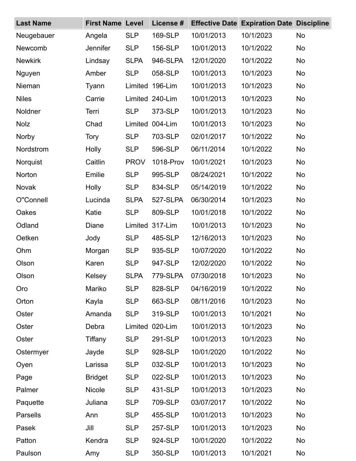| <b>Last Name</b> | <b>First Name Level</b> |             | License #       | <b>Effective Date</b> | <b>Expiration Date Discipline</b> |           |
|------------------|-------------------------|-------------|-----------------|-----------------------|-----------------------------------|-----------|
| Neugebauer       | Angela                  | <b>SLP</b>  | 169-SLP         | 10/01/2013            | 10/1/2023                         | No        |
| Newcomb          | Jennifer                | <b>SLP</b>  | 156-SLP         | 10/01/2013            | 10/1/2022                         | <b>No</b> |
| <b>Newkirk</b>   | Lindsay                 | <b>SLPA</b> | 946-SLPA        | 12/01/2020            | 10/1/2022                         | <b>No</b> |
| Nguyen           | Amber                   | <b>SLP</b>  | 058-SLP         | 10/01/2013            | 10/1/2023                         | <b>No</b> |
| Nieman           | Tyann                   | Limited     | 196-Lim         | 10/01/2013            | 10/1/2023                         | <b>No</b> |
| <b>Niles</b>     | Carrie                  |             | Limited 240-Lim | 10/01/2013            | 10/1/2023                         | <b>No</b> |
| Noldner          | Terri                   | <b>SLP</b>  | 373-SLP         | 10/01/2013            | 10/1/2023                         | <b>No</b> |
| <b>Nolz</b>      | Chad                    | Limited     | 004-Lim         | 10/01/2013            | 10/1/2023                         | <b>No</b> |
| Norby            | <b>Tory</b>             | <b>SLP</b>  | 703-SLP         | 02/01/2017            | 10/1/2022                         | No        |
| Nordstrom        | Holly                   | <b>SLP</b>  | 596-SLP         | 06/11/2014            | 10/1/2022                         | <b>No</b> |
| Norquist         | Caitlin                 | <b>PROV</b> | 1018-Prov       | 10/01/2021            | 10/1/2023                         | <b>No</b> |
| Norton           | Emilie                  | <b>SLP</b>  | 995-SLP         | 08/24/2021            | 10/1/2022                         | <b>No</b> |
| Novak            | Holly                   | <b>SLP</b>  | 834-SLP         | 05/14/2019            | 10/1/2022                         | <b>No</b> |
| O"Connell        | Lucinda                 | <b>SLPA</b> | 527-SLPA        | 06/30/2014            | 10/1/2023                         | No        |
| Oakes            | Katie                   | <b>SLP</b>  | 809-SLP         | 10/01/2018            | 10/1/2022                         | <b>No</b> |
| Odland           | Diane                   | Limited     | 317-Lim         | 10/01/2013            | 10/1/2023                         | <b>No</b> |
| Oetken           | Jody                    | <b>SLP</b>  | 485-SLP         | 12/16/2013            | 10/1/2023                         | <b>No</b> |
| Ohm              | Morgan                  | <b>SLP</b>  | 935-SLP         | 10/07/2020            | 10/1/2022                         | <b>No</b> |
| Olson            | Karen                   | <b>SLP</b>  | 947-SLP         | 12/02/2020            | 10/1/2022                         | <b>No</b> |
| Olson            | Kelsey                  | <b>SLPA</b> | 779-SLPA        | 07/30/2018            | 10/1/2023                         | No        |
| Oro              | Mariko                  | <b>SLP</b>  | 828-SLP         | 04/16/2019            | 10/1/2022                         | <b>No</b> |
| Orton            | Kayla                   | <b>SLP</b>  | 663-SLP         | 08/11/2016            | 10/1/2023                         | <b>No</b> |
| Oster            | Amanda                  | <b>SLP</b>  | 319-SLP         | 10/01/2013            | 10/1/2021                         | <b>No</b> |
| Oster            | Debra                   | Limited     | 020-Lim         | 10/01/2013            | 10/1/2023                         | <b>No</b> |
| Oster            | Tiffany                 | <b>SLP</b>  | 291-SLP         | 10/01/2013            | 10/1/2023                         | <b>No</b> |
| Ostermyer        | Jayde                   | <b>SLP</b>  | 928-SLP         | 10/01/2020            | 10/1/2022                         | <b>No</b> |
| Oyen             | Larissa                 | <b>SLP</b>  | 032-SLP         | 10/01/2013            | 10/1/2023                         | <b>No</b> |
| Page             | <b>Bridget</b>          | <b>SLP</b>  | 022-SLP         | 10/01/2013            | 10/1/2023                         | <b>No</b> |
| Palmer           | <b>Nicole</b>           | <b>SLP</b>  | 431-SLP         | 10/01/2013            | 10/1/2023                         | <b>No</b> |
| Paquette         | Juliana                 | <b>SLP</b>  | 709-SLP         | 03/07/2017            | 10/1/2022                         | <b>No</b> |
| Parsells         | Ann                     | <b>SLP</b>  | 455-SLP         | 10/01/2013            | 10/1/2023                         | <b>No</b> |
| Pasek            | Jill                    | <b>SLP</b>  | 257-SLP         | 10/01/2013            | 10/1/2023                         | <b>No</b> |
| Patton           | Kendra                  | <b>SLP</b>  | 924-SLP         | 10/01/2020            | 10/1/2022                         | No        |
| Paulson          | Amy                     | <b>SLP</b>  | 350-SLP         | 10/01/2013            | 10/1/2021                         | No        |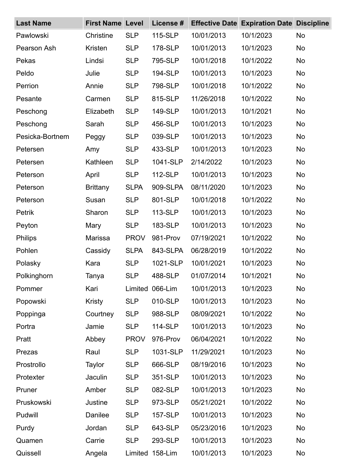| <b>Last Name</b> | <b>First Name Level</b> |             | License # | <b>Effective Date</b> | <b>Expiration Date Discipline</b> |           |
|------------------|-------------------------|-------------|-----------|-----------------------|-----------------------------------|-----------|
| Pawlowski        | Christine               | <b>SLP</b>  | 115-SLP   | 10/01/2013            | 10/1/2023                         | No        |
| Pearson Ash      | Kristen                 | <b>SLP</b>  | 178-SLP   | 10/01/2013            | 10/1/2023                         | <b>No</b> |
| Pekas            | Lindsi                  | <b>SLP</b>  | 795-SLP   | 10/01/2018            | 10/1/2022                         | <b>No</b> |
| Peldo            | Julie                   | <b>SLP</b>  | 194-SLP   | 10/01/2013            | 10/1/2023                         | <b>No</b> |
| Perrion          | Annie                   | <b>SLP</b>  | 798-SLP   | 10/01/2018            | 10/1/2022                         | <b>No</b> |
| Pesante          | Carmen                  | <b>SLP</b>  | 815-SLP   | 11/26/2018            | 10/1/2022                         | <b>No</b> |
| Peschong         | Elizabeth               | <b>SLP</b>  | 149-SLP   | 10/01/2013            | 10/1/2021                         | <b>No</b> |
| Peschong         | Sarah                   | <b>SLP</b>  | 456-SLP   | 10/01/2013            | 10/1/2023                         | <b>No</b> |
| Pesicka-Bortnem  | Peggy                   | <b>SLP</b>  | 039-SLP   | 10/01/2013            | 10/1/2023                         | <b>No</b> |
| Petersen         | Amy                     | <b>SLP</b>  | 433-SLP   | 10/01/2013            | 10/1/2023                         | <b>No</b> |
| Petersen         | Kathleen                | <b>SLP</b>  | 1041-SLP  | 2/14/2022             | 10/1/2023                         | <b>No</b> |
| Peterson         | April                   | <b>SLP</b>  | 112-SLP   | 10/01/2013            | 10/1/2023                         | <b>No</b> |
| Peterson         | <b>Brittany</b>         | <b>SLPA</b> | 909-SLPA  | 08/11/2020            | 10/1/2023                         | <b>No</b> |
| Peterson         | Susan                   | <b>SLP</b>  | 801-SLP   | 10/01/2018            | 10/1/2022                         | <b>No</b> |
| Petrik           | Sharon                  | <b>SLP</b>  | 113-SLP   | 10/01/2013            | 10/1/2023                         | <b>No</b> |
| Peyton           | Mary                    | <b>SLP</b>  | 183-SLP   | 10/01/2013            | 10/1/2023                         | <b>No</b> |
| <b>Philips</b>   | Marissa                 | <b>PROV</b> | 981-Prov  | 07/19/2021            | 10/1/2022                         | <b>No</b> |
| Pohlen           | Cassidy                 | <b>SLPA</b> | 843-SLPA  | 06/28/2019            | 10/1/2022                         | <b>No</b> |
| Polasky          | Kara                    | <b>SLP</b>  | 1021-SLP  | 10/01/2021            | 10/1/2023                         | <b>No</b> |
| Polkinghorn      | Tanya                   | <b>SLP</b>  | 488-SLP   | 01/07/2014            | 10/1/2021                         | <b>No</b> |
| Pommer           | Kari                    | Limited     | 066-Lim   | 10/01/2013            | 10/1/2023                         | <b>No</b> |
| Popowski         | Kristy                  | <b>SLP</b>  | 010-SLP   | 10/01/2013            | 10/1/2023                         | <b>No</b> |
| Poppinga         | Courtney                | <b>SLP</b>  | 988-SLP   | 08/09/2021            | 10/1/2022                         | <b>No</b> |
| Portra           | Jamie                   | <b>SLP</b>  | 114-SLP   | 10/01/2013            | 10/1/2023                         | <b>No</b> |
| Pratt            | Abbey                   | <b>PROV</b> | 976-Prov  | 06/04/2021            | 10/1/2022                         | <b>No</b> |
| Prezas           | Raul                    | <b>SLP</b>  | 1031-SLP  | 11/29/2021            | 10/1/2023                         | <b>No</b> |
| Prostrollo       | Taylor                  | <b>SLP</b>  | 666-SLP   | 08/19/2016            | 10/1/2023                         | <b>No</b> |
| Protexter        | Jaculin                 | <b>SLP</b>  | 351-SLP   | 10/01/2013            | 10/1/2023                         | <b>No</b> |
| Pruner           | Amber                   | <b>SLP</b>  | 082-SLP   | 10/01/2013            | 10/1/2023                         | <b>No</b> |
| Pruskowski       | Justine                 | <b>SLP</b>  | 973-SLP   | 05/21/2021            | 10/1/2022                         | <b>No</b> |
| Pudwill          | Danilee                 | <b>SLP</b>  | 157-SLP   | 10/01/2013            | 10/1/2023                         | <b>No</b> |
| Purdy            | Jordan                  | <b>SLP</b>  | 643-SLP   | 05/23/2016            | 10/1/2023                         | <b>No</b> |
| Quamen           | Carrie                  | <b>SLP</b>  | 293-SLP   | 10/01/2013            | 10/1/2023                         | <b>No</b> |
| Quissell         | Angela                  | Limited     | 158-Lim   | 10/01/2013            | 10/1/2023                         | No        |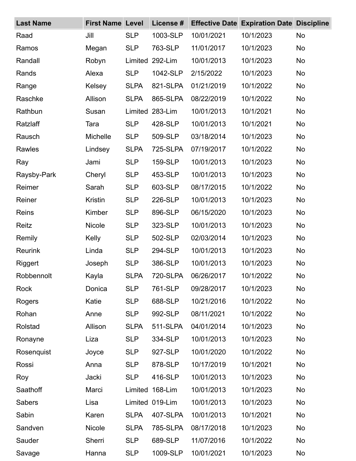| <b>Last Name</b> | <b>First Name Level</b> |             | License #       |            | <b>Effective Date Expiration Date Discipline</b> |           |
|------------------|-------------------------|-------------|-----------------|------------|--------------------------------------------------|-----------|
| Raad             | Jill                    | <b>SLP</b>  | 1003-SLP        | 10/01/2021 | 10/1/2023                                        | No        |
| Ramos            | Megan                   | <b>SLP</b>  | 763-SLP         | 11/01/2017 | 10/1/2023                                        | No        |
| Randall          | Robyn                   | Limited     | 292-Lim         | 10/01/2013 | 10/1/2023                                        | <b>No</b> |
| Rands            | Alexa                   | <b>SLP</b>  | 1042-SLP        | 2/15/2022  | 10/1/2023                                        | No        |
| Range            | Kelsey                  | <b>SLPA</b> | 821-SLPA        | 01/21/2019 | 10/1/2022                                        | <b>No</b> |
| Raschke          | Allison                 | <b>SLPA</b> | 865-SLPA        | 08/22/2019 | 10/1/2022                                        | <b>No</b> |
| Rathbun          | Susan                   | Limited     | 283-Lim         | 10/01/2013 | 10/1/2021                                        | <b>No</b> |
| Ratzlaff         | Tara                    | <b>SLP</b>  | 428-SLP         | 10/01/2013 | 10/1/2021                                        | <b>No</b> |
| Rausch           | Michelle                | <b>SLP</b>  | 509-SLP         | 03/18/2014 | 10/1/2023                                        | No        |
| Rawles           | Lindsey                 | <b>SLPA</b> | 725-SLPA        | 07/19/2017 | 10/1/2022                                        | <b>No</b> |
| Ray              | Jami                    | <b>SLP</b>  | 159-SLP         | 10/01/2013 | 10/1/2023                                        | <b>No</b> |
| Raysby-Park      | Cheryl                  | <b>SLP</b>  | 453-SLP         | 10/01/2013 | 10/1/2023                                        | <b>No</b> |
| Reimer           | Sarah                   | <b>SLP</b>  | 603-SLP         | 08/17/2015 | 10/1/2022                                        | <b>No</b> |
| Reiner           | Kristin                 | <b>SLP</b>  | 226-SLP         | 10/01/2013 | 10/1/2023                                        | No        |
| Reins            | Kimber                  | <b>SLP</b>  | 896-SLP         | 06/15/2020 | 10/1/2023                                        | <b>No</b> |
| Reitz            | <b>Nicole</b>           | <b>SLP</b>  | 323-SLP         | 10/01/2013 | 10/1/2023                                        | <b>No</b> |
| Remily           | Kelly                   | <b>SLP</b>  | 502-SLP         | 02/03/2014 | 10/1/2023                                        | <b>No</b> |
| <b>Reurink</b>   | Linda                   | <b>SLP</b>  | 294-SLP         | 10/01/2013 | 10/1/2023                                        | <b>No</b> |
| Riggert          | Joseph                  | <b>SLP</b>  | 386-SLP         | 10/01/2013 | 10/1/2023                                        | <b>No</b> |
| Robbennolt       | Kayla                   | <b>SLPA</b> | 720-SLPA        | 06/26/2017 | 10/1/2022                                        | <b>No</b> |
| Rock             | Donica                  | <b>SLP</b>  | 761-SLP         | 09/28/2017 | 10/1/2023                                        | <b>No</b> |
| Rogers           | Katie                   | <b>SLP</b>  | 688-SLP         | 10/21/2016 | 10/1/2022                                        | <b>No</b> |
| Rohan            | Anne                    | <b>SLP</b>  | 992-SLP         | 08/11/2021 | 10/1/2022                                        | <b>No</b> |
| Rolstad          | Allison                 | <b>SLPA</b> | 511-SLPA        | 04/01/2014 | 10/1/2023                                        | <b>No</b> |
| Ronayne          | Liza                    | <b>SLP</b>  | 334-SLP         | 10/01/2013 | 10/1/2023                                        | <b>No</b> |
| Rosenquist       | Joyce                   | <b>SLP</b>  | 927-SLP         | 10/01/2020 | 10/1/2022                                        | <b>No</b> |
| Rossi            | Anna                    | <b>SLP</b>  | 878-SLP         | 10/17/2019 | 10/1/2021                                        | <b>No</b> |
| Roy              | Jacki                   | <b>SLP</b>  | 416-SLP         | 10/01/2013 | 10/1/2023                                        | <b>No</b> |
| Saathoff         | Marci                   | Limited     | 168-Lim         | 10/01/2013 | 10/1/2023                                        | <b>No</b> |
| Sabers           | Lisa                    |             | Limited 019-Lim | 10/01/2013 | 10/1/2023                                        | <b>No</b> |
| Sabin            | Karen                   | <b>SLPA</b> | 407-SLPA        | 10/01/2013 | 10/1/2021                                        | <b>No</b> |
| Sandven          | <b>Nicole</b>           | <b>SLPA</b> | 785-SLPA        | 08/17/2018 | 10/1/2023                                        | <b>No</b> |
| Sauder           | Sherri                  | <b>SLP</b>  | 689-SLP         | 11/07/2016 | 10/1/2022                                        | <b>No</b> |
| Savage           | Hanna                   | <b>SLP</b>  | 1009-SLP        | 10/01/2021 | 10/1/2023                                        | No        |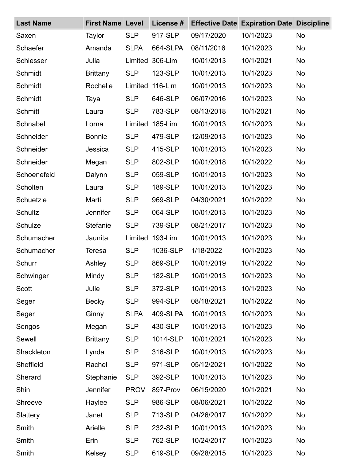| <b>Last Name</b> | <b>First Name Level</b> |             | License # | <b>Effective Date</b> | <b>Expiration Date Discipline</b> |           |
|------------------|-------------------------|-------------|-----------|-----------------------|-----------------------------------|-----------|
| Saxen            | Taylor                  | <b>SLP</b>  | 917-SLP   | 09/17/2020            | 10/1/2023                         | <b>No</b> |
| Schaefer         | Amanda                  | <b>SLPA</b> | 664-SLPA  | 08/11/2016            | 10/1/2023                         | <b>No</b> |
| <b>Schlesser</b> | Julia                   | Limited     | 306-Lim   | 10/01/2013            | 10/1/2021                         | <b>No</b> |
| Schmidt          | <b>Brittany</b>         | <b>SLP</b>  | 123-SLP   | 10/01/2013            | 10/1/2023                         | <b>No</b> |
| Schmidt          | Rochelle                | Limited     | 116-Lim   | 10/01/2013            | 10/1/2023                         | <b>No</b> |
| Schmidt          | Taya                    | <b>SLP</b>  | 646-SLP   | 06/07/2016            | 10/1/2023                         | <b>No</b> |
| <b>Schmitt</b>   | Laura                   | <b>SLP</b>  | 783-SLP   | 08/13/2018            | 10/1/2021                         | <b>No</b> |
| Schnabel         | Lorna                   | Limited     | 185-Lim   | 10/01/2013            | 10/1/2023                         | <b>No</b> |
| Schneider        | <b>Bonnie</b>           | <b>SLP</b>  | 479-SLP   | 12/09/2013            | 10/1/2023                         | <b>No</b> |
| Schneider        | Jessica                 | <b>SLP</b>  | 415-SLP   | 10/01/2013            | 10/1/2023                         | <b>No</b> |
| Schneider        | Megan                   | <b>SLP</b>  | 802-SLP   | 10/01/2018            | 10/1/2022                         | <b>No</b> |
| Schoenefeld      | Dalynn                  | <b>SLP</b>  | 059-SLP   | 10/01/2013            | 10/1/2023                         | <b>No</b> |
| Scholten         | Laura                   | <b>SLP</b>  | 189-SLP   | 10/01/2013            | 10/1/2023                         | <b>No</b> |
| Schuetzle        | Marti                   | <b>SLP</b>  | 969-SLP   | 04/30/2021            | 10/1/2022                         | <b>No</b> |
| Schultz          | <b>Jennifer</b>         | <b>SLP</b>  | 064-SLP   | 10/01/2013            | 10/1/2023                         | <b>No</b> |
| Schulze          | Stefanie                | <b>SLP</b>  | 739-SLP   | 08/21/2017            | 10/1/2023                         | <b>No</b> |
| Schumacher       | Jaunita                 | Limited     | 193-Lim   | 10/01/2013            | 10/1/2023                         | <b>No</b> |
| Schumacher       | <b>Teresa</b>           | <b>SLP</b>  | 1036-SLP  | 1/18/2022             | 10/1/2023                         | <b>No</b> |
| Schurr           | Ashley                  | <b>SLP</b>  | 869-SLP   | 10/01/2019            | 10/1/2022                         | <b>No</b> |
| Schwinger        | Mindy                   | <b>SLP</b>  | 182-SLP   | 10/01/2013            | 10/1/2023                         | No.       |
| <b>Scott</b>     | Julie                   | <b>SLP</b>  | 372-SLP   | 10/01/2013            | 10/1/2023                         | <b>No</b> |
| Seger            | <b>Becky</b>            | <b>SLP</b>  | 994-SLP   | 08/18/2021            | 10/1/2022                         | <b>No</b> |
| Seger            | Ginny                   | <b>SLPA</b> | 409-SLPA  | 10/01/2013            | 10/1/2023                         | <b>No</b> |
| Sengos           | Megan                   | <b>SLP</b>  | 430-SLP   | 10/01/2013            | 10/1/2023                         | <b>No</b> |
| Sewell           | <b>Brittany</b>         | <b>SLP</b>  | 1014-SLP  | 10/01/2021            | 10/1/2023                         | <b>No</b> |
| Shackleton       | Lynda                   | <b>SLP</b>  | 316-SLP   | 10/01/2013            | 10/1/2023                         | <b>No</b> |
| Sheffield        | Rachel                  | <b>SLP</b>  | 971-SLP   | 05/12/2021            | 10/1/2022                         | <b>No</b> |
| Sherard          | Stephanie               | <b>SLP</b>  | 392-SLP   | 10/01/2013            | 10/1/2023                         | <b>No</b> |
| Shin             | <b>Jennifer</b>         | <b>PROV</b> | 897-Prov  | 06/15/2020            | 10/1/2021                         | <b>No</b> |
| Shreeve          | Haylee                  | <b>SLP</b>  | 986-SLP   | 08/06/2021            | 10/1/2022                         | <b>No</b> |
| Slattery         | Janet                   | <b>SLP</b>  | 713-SLP   | 04/26/2017            | 10/1/2022                         | <b>No</b> |
| Smith            | Arielle                 | <b>SLP</b>  | 232-SLP   | 10/01/2013            | 10/1/2023                         | <b>No</b> |
| Smith            | Erin                    | <b>SLP</b>  | 762-SLP   | 10/24/2017            | 10/1/2023                         | No        |
| Smith            | Kelsey                  | <b>SLP</b>  | 619-SLP   | 09/28/2015            | 10/1/2023                         | No        |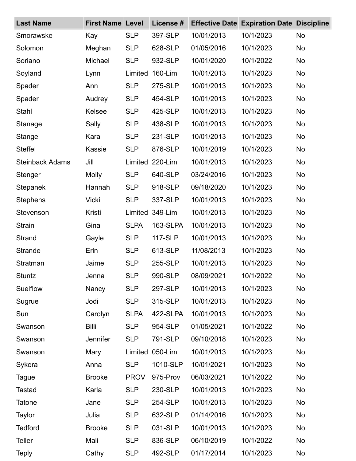| <b>Last Name</b>       | <b>First Name Level</b> |             | License # |            | <b>Effective Date Expiration Date Discipline</b> |           |
|------------------------|-------------------------|-------------|-----------|------------|--------------------------------------------------|-----------|
| Smorawske              | Kay                     | <b>SLP</b>  | 397-SLP   | 10/01/2013 | 10/1/2023                                        | No        |
| Solomon                | Meghan                  | <b>SLP</b>  | 628-SLP   | 01/05/2016 | 10/1/2023                                        | <b>No</b> |
| Soriano                | Michael                 | <b>SLP</b>  | 932-SLP   | 10/01/2020 | 10/1/2022                                        | <b>No</b> |
| Soyland                | Lynn                    | Limited     | 160-Lim   | 10/01/2013 | 10/1/2023                                        | No        |
| Spader                 | Ann                     | <b>SLP</b>  | 275-SLP   | 10/01/2013 | 10/1/2023                                        | <b>No</b> |
| Spader                 | Audrey                  | <b>SLP</b>  | 454-SLP   | 10/01/2013 | 10/1/2023                                        | <b>No</b> |
| Stahl                  | <b>Kelsee</b>           | <b>SLP</b>  | 425-SLP   | 10/01/2013 | 10/1/2023                                        | <b>No</b> |
| Stanage                | Sally                   | <b>SLP</b>  | 438-SLP   | 10/01/2013 | 10/1/2023                                        | <b>No</b> |
| Stange                 | Kara                    | <b>SLP</b>  | 231-SLP   | 10/01/2013 | 10/1/2023                                        | No        |
| <b>Steffel</b>         | <b>Kassie</b>           | <b>SLP</b>  | 876-SLP   | 10/01/2019 | 10/1/2023                                        | <b>No</b> |
| <b>Steinback Adams</b> | Jill                    | Limited     | 220-Lim   | 10/01/2013 | 10/1/2023                                        | <b>No</b> |
| Stenger                | <b>Molly</b>            | <b>SLP</b>  | 640-SLP   | 03/24/2016 | 10/1/2023                                        | No        |
| <b>Stepanek</b>        | Hannah                  | <b>SLP</b>  | 918-SLP   | 09/18/2020 | 10/1/2023                                        | <b>No</b> |
| <b>Stephens</b>        | <b>Vicki</b>            | <b>SLP</b>  | 337-SLP   | 10/01/2013 | 10/1/2023                                        | <b>No</b> |
| Stevenson              | Kristi                  | Limited     | 349-Lim   | 10/01/2013 | 10/1/2023                                        | <b>No</b> |
| <b>Strain</b>          | Gina                    | <b>SLPA</b> | 163-SLPA  | 10/01/2013 | 10/1/2023                                        | <b>No</b> |
| Strand                 | Gayle                   | <b>SLP</b>  | 117-SLP   | 10/01/2013 | 10/1/2023                                        | <b>No</b> |
| Strande                | Erin                    | <b>SLP</b>  | 613-SLP   | 11/08/2013 | 10/1/2023                                        | <b>No</b> |
| Stratman               | Jaime                   | <b>SLP</b>  | 255-SLP   | 10/01/2013 | 10/1/2023                                        | <b>No</b> |
| Stuntz                 | Jenna                   | <b>SLP</b>  | 990-SLP   | 08/09/2021 | 10/1/2022                                        | No.       |
| Suelflow               | Nancy                   | <b>SLP</b>  | 297-SLP   | 10/01/2013 | 10/1/2023                                        | <b>No</b> |
| Sugrue                 | Jodi                    | <b>SLP</b>  | 315-SLP   | 10/01/2013 | 10/1/2023                                        | <b>No</b> |
| Sun                    | Carolyn                 | <b>SLPA</b> | 422-SLPA  | 10/01/2013 | 10/1/2023                                        | <b>No</b> |
| Swanson                | <b>Billi</b>            | <b>SLP</b>  | 954-SLP   | 01/05/2021 | 10/1/2022                                        | <b>No</b> |
| Swanson                | <b>Jennifer</b>         | <b>SLP</b>  | 791-SLP   | 09/10/2018 | 10/1/2023                                        | <b>No</b> |
| Swanson                | Mary                    | Limited     | 050-Lim   | 10/01/2013 | 10/1/2023                                        | <b>No</b> |
| Sykora                 | Anna                    | <b>SLP</b>  | 1010-SLP  | 10/01/2021 | 10/1/2023                                        | <b>No</b> |
| Tague                  | <b>Brooke</b>           | <b>PROV</b> | 975-Prov  | 06/03/2021 | 10/1/2022                                        | <b>No</b> |
| <b>Tastad</b>          | Karla                   | <b>SLP</b>  | 230-SLP   | 10/01/2013 | 10/1/2023                                        | <b>No</b> |
| <b>Tatone</b>          | Jane                    | <b>SLP</b>  | 254-SLP   | 10/01/2013 | 10/1/2023                                        | <b>No</b> |
| <b>Taylor</b>          | Julia                   | <b>SLP</b>  | 632-SLP   | 01/14/2016 | 10/1/2023                                        | <b>No</b> |
| <b>Tedford</b>         | <b>Brooke</b>           | <b>SLP</b>  | 031-SLP   | 10/01/2013 | 10/1/2023                                        | <b>No</b> |
| <b>Teller</b>          | Mali                    | <b>SLP</b>  | 836-SLP   | 06/10/2019 | 10/1/2022                                        | No        |
| <b>Teply</b>           | Cathy                   | <b>SLP</b>  | 492-SLP   | 01/17/2014 | 10/1/2023                                        | No        |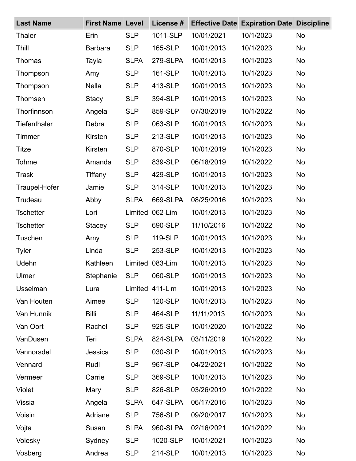| <b>Last Name</b>    | <b>First Name Level</b> |             | License #       |            | <b>Effective Date Expiration Date Discipline</b> |           |
|---------------------|-------------------------|-------------|-----------------|------------|--------------------------------------------------|-----------|
| <b>Thaler</b>       | Erin                    | <b>SLP</b>  | 1011-SLP        | 10/01/2021 | 10/1/2023                                        | No        |
| Thill               | <b>Barbara</b>          | <b>SLP</b>  | 165-SLP         | 10/01/2013 | 10/1/2023                                        | No        |
| <b>Thomas</b>       | Tayla                   | <b>SLPA</b> | 279-SLPA        | 10/01/2013 | 10/1/2023                                        | <b>No</b> |
| Thompson            | Amy                     | <b>SLP</b>  | 161-SLP         | 10/01/2013 | 10/1/2023                                        | No        |
| Thompson            | <b>Nella</b>            | <b>SLP</b>  | 413-SLP         | 10/01/2013 | 10/1/2023                                        | <b>No</b> |
| Thomsen             | <b>Stacy</b>            | <b>SLP</b>  | 394-SLP         | 10/01/2013 | 10/1/2023                                        | <b>No</b> |
| Thorfinnson         | Angela                  | <b>SLP</b>  | 859-SLP         | 07/30/2019 | 10/1/2022                                        | <b>No</b> |
| <b>Tiefenthaler</b> | Debra                   | <b>SLP</b>  | 063-SLP         | 10/01/2013 | 10/1/2023                                        | <b>No</b> |
| Timmer              | Kirsten                 | <b>SLP</b>  | 213-SLP         | 10/01/2013 | 10/1/2023                                        | No        |
| Titze               | Kirsten                 | <b>SLP</b>  | 870-SLP         | 10/01/2019 | 10/1/2023                                        | No        |
| Tohme               | Amanda                  | <b>SLP</b>  | 839-SLP         | 06/18/2019 | 10/1/2022                                        | <b>No</b> |
| <b>Trask</b>        | Tiffany                 | <b>SLP</b>  | 429-SLP         | 10/01/2013 | 10/1/2023                                        | <b>No</b> |
| Traupel-Hofer       | Jamie                   | <b>SLP</b>  | 314-SLP         | 10/01/2013 | 10/1/2023                                        | <b>No</b> |
| Trudeau             | Abby                    | <b>SLPA</b> | 669-SLPA        | 08/25/2016 | 10/1/2023                                        | No        |
| <b>Tschetter</b>    | Lori                    | Limited     | 062-Lim         | 10/01/2013 | 10/1/2023                                        | <b>No</b> |
| <b>Tschetter</b>    | <b>Stacey</b>           | <b>SLP</b>  | 690-SLP         | 11/10/2016 | 10/1/2022                                        | <b>No</b> |
| Tuschen             | Amy                     | <b>SLP</b>  | 119-SLP         | 10/01/2013 | 10/1/2023                                        | <b>No</b> |
| <b>Tyler</b>        | Linda                   | <b>SLP</b>  | 253-SLP         | 10/01/2013 | 10/1/2023                                        | <b>No</b> |
| Udehn               | Kathleen                | Limited     | 083-Lim         | 10/01/2013 | 10/1/2023                                        | <b>No</b> |
| Ulmer               | Stephanie               | <b>SLP</b>  | 060-SLP         | 10/01/2013 | 10/1/2023                                        | No        |
| <b>Usselman</b>     | Lura                    |             | Limited 411-Lim | 10/01/2013 | 10/1/2023                                        | <b>No</b> |
| Van Houten          | Aimee                   | <b>SLP</b>  | 120-SLP         | 10/01/2013 | 10/1/2023                                        | <b>No</b> |
| Van Hunnik          | <b>Billi</b>            | <b>SLP</b>  | 464-SLP         | 11/11/2013 | 10/1/2023                                        | <b>No</b> |
| Van Oort            | Rachel                  | <b>SLP</b>  | 925-SLP         | 10/01/2020 | 10/1/2022                                        | <b>No</b> |
| VanDusen            | Teri                    | <b>SLPA</b> | 824-SLPA        | 03/11/2019 | 10/1/2022                                        | <b>No</b> |
| Vannorsdel          | Jessica                 | <b>SLP</b>  | 030-SLP         | 10/01/2013 | 10/1/2023                                        | <b>No</b> |
| Vennard             | Rudi                    | <b>SLP</b>  | 967-SLP         | 04/22/2021 | 10/1/2022                                        | <b>No</b> |
| Vermeer             | Carrie                  | <b>SLP</b>  | 369-SLP         | 10/01/2013 | 10/1/2023                                        | <b>No</b> |
| <b>Violet</b>       | Mary                    | <b>SLP</b>  | 826-SLP         | 03/26/2019 | 10/1/2022                                        | <b>No</b> |
| Vissia              | Angela                  | <b>SLPA</b> | 647-SLPA        | 06/17/2016 | 10/1/2023                                        | <b>No</b> |
| Voisin              | Adriane                 | <b>SLP</b>  | 756-SLP         | 09/20/2017 | 10/1/2023                                        | <b>No</b> |
| Vojta               | Susan                   | <b>SLPA</b> | 960-SLPA        | 02/16/2021 | 10/1/2022                                        | <b>No</b> |
| Volesky             | Sydney                  | <b>SLP</b>  | 1020-SLP        | 10/01/2021 | 10/1/2023                                        | <b>No</b> |
| Vosberg             | Andrea                  | <b>SLP</b>  | 214-SLP         | 10/01/2013 | 10/1/2023                                        | No        |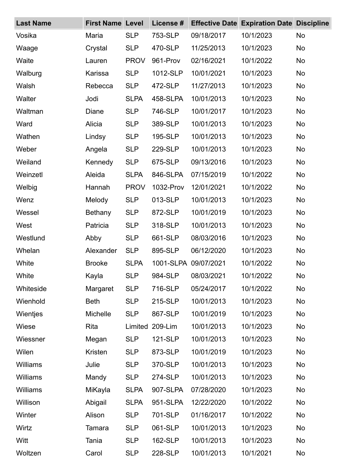| <b>Last Name</b> | <b>First Name Level</b> |             | License # |                      | <b>Effective Date Expiration Date Discipline</b> |           |
|------------------|-------------------------|-------------|-----------|----------------------|--------------------------------------------------|-----------|
| Vosika           | Maria                   | <b>SLP</b>  | 753-SLP   | 09/18/2017           | 10/1/2023                                        | No        |
| Waage            | Crystal                 | <b>SLP</b>  | 470-SLP   | 11/25/2013           | 10/1/2023                                        | No        |
| Waite            | Lauren                  | <b>PROV</b> | 961-Prov  | 02/16/2021           | 10/1/2022                                        | <b>No</b> |
| Walburg          | Karissa                 | <b>SLP</b>  | 1012-SLP  | 10/01/2021           | 10/1/2023                                        | No        |
| Walsh            | Rebecca                 | <b>SLP</b>  | 472-SLP   | 11/27/2013           | 10/1/2023                                        | <b>No</b> |
| Walter           | Jodi                    | <b>SLPA</b> | 458-SLPA  | 10/01/2013           | 10/1/2023                                        | <b>No</b> |
| Waltman          | Diane                   | <b>SLP</b>  | 746-SLP   | 10/01/2017           | 10/1/2023                                        | <b>No</b> |
| Ward             | Alicia                  | <b>SLP</b>  | 389-SLP   | 10/01/2013           | 10/1/2023                                        | <b>No</b> |
| Wathen           | Lindsy                  | <b>SLP</b>  | 195-SLP   | 10/01/2013           | 10/1/2023                                        | No        |
| Weber            | Angela                  | <b>SLP</b>  | 229-SLP   | 10/01/2013           | 10/1/2023                                        | <b>No</b> |
| Weiland          | Kennedy                 | <b>SLP</b>  | 675-SLP   | 09/13/2016           | 10/1/2023                                        | <b>No</b> |
| Weinzetl         | Aleida                  | <b>SLPA</b> | 846-SLPA  | 07/15/2019           | 10/1/2022                                        | <b>No</b> |
| Welbig           | Hannah                  | <b>PROV</b> | 1032-Prov | 12/01/2021           | 10/1/2022                                        | <b>No</b> |
| Wenz             | Melody                  | <b>SLP</b>  | 013-SLP   | 10/01/2013           | 10/1/2023                                        | No        |
| Wessel           | Bethany                 | <b>SLP</b>  | 872-SLP   | 10/01/2019           | 10/1/2023                                        | <b>No</b> |
| West             | Patricia                | <b>SLP</b>  | 318-SLP   | 10/01/2013           | 10/1/2023                                        | <b>No</b> |
| Westlund         | Abby                    | <b>SLP</b>  | 661-SLP   | 08/03/2016           | 10/1/2023                                        | <b>No</b> |
| Whelan           | Alexander               | <b>SLP</b>  | 895-SLP   | 06/12/2020           | 10/1/2023                                        | <b>No</b> |
| White            | <b>Brooke</b>           | <b>SLPA</b> |           | 1001-SLPA 09/07/2021 | 10/1/2022                                        | <b>No</b> |
| White            | Kayla                   | <b>SLP</b>  | 984-SLP   | 08/03/2021           | 10/1/2022                                        | <b>No</b> |
| Whiteside        | Margaret                | <b>SLP</b>  | 716-SLP   | 05/24/2017           | 10/1/2022                                        | <b>No</b> |
| Wienhold         | <b>Beth</b>             | <b>SLP</b>  | 215-SLP   | 10/01/2013           | 10/1/2023                                        | <b>No</b> |
| Wientjes         | Michelle                | <b>SLP</b>  | 867-SLP   | 10/01/2019           | 10/1/2023                                        | <b>No</b> |
| Wiese            | Rita                    | Limited     | 209-Lim   | 10/01/2013           | 10/1/2023                                        | <b>No</b> |
| Wiessner         | Megan                   | <b>SLP</b>  | 121-SLP   | 10/01/2013           | 10/1/2023                                        | <b>No</b> |
| Wilen            | Kristen                 | <b>SLP</b>  | 873-SLP   | 10/01/2019           | 10/1/2023                                        | <b>No</b> |
| <b>Williams</b>  | Julie                   | <b>SLP</b>  | 370-SLP   | 10/01/2013           | 10/1/2023                                        | <b>No</b> |
| Williams         | Mandy                   | <b>SLP</b>  | 274-SLP   | 10/01/2013           | 10/1/2023                                        | <b>No</b> |
| Williams         | MiKayla                 | <b>SLPA</b> | 907-SLPA  | 07/28/2020           | 10/1/2023                                        | <b>No</b> |
| Willison         | Abigail                 | <b>SLPA</b> | 951-SLPA  | 12/22/2020           | 10/1/2022                                        | <b>No</b> |
| Winter           | Alison                  | <b>SLP</b>  | 701-SLP   | 01/16/2017           | 10/1/2022                                        | <b>No</b> |
| Wirtz            | Tamara                  | <b>SLP</b>  | 061-SLP   | 10/01/2013           | 10/1/2023                                        | <b>No</b> |
| Witt             | Tania                   | <b>SLP</b>  | 162-SLP   | 10/01/2013           | 10/1/2023                                        | <b>No</b> |
| Woltzen          | Carol                   | <b>SLP</b>  | 228-SLP   | 10/01/2013           | 10/1/2021                                        | No        |